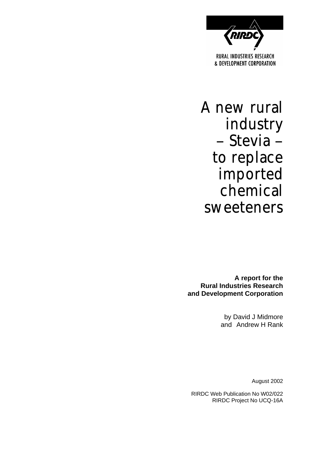

A new rural industry *–* Stevia *–* to replace imported chemical sweeteners

**A report for the Rural Industries Research and Development Corporation** 

> by David J Midmore and Andrew H Rank

> > August 2002

RIRDC Web Publication No W02/022 RIRDC Project No UCQ-16A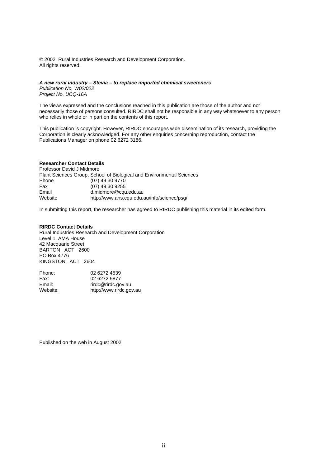© 2002 Rural Industries Research and Development Corporation. All rights reserved.

#### *A new rural industry – Stevia – to replace imported chemical sweeteners*

*Publication No. W02/022 Project No. UCQ-16A* 

The views expressed and the conclusions reached in this publication are those of the author and not necessarily those of persons consulted. RIRDC shall not be responsible in any way whatsoever to any person who relies in whole or in part on the contents of this report.

This publication is copyright. However, RIRDC encourages wide dissemination of its research, providing the Corporation is clearly acknowledged. For any other enquiries concerning reproduction, contact the Publications Manager on phone 02 6272 3186.

#### **Researcher Contact Details**

Professor David J Midmore Plant Sciences Group, School of Biological and Environmental Sciences Phone (07) 49 30 9770<br>Fax (07) 49 30 9255 Fax  $(07)$  49 30 9255<br>
Fmail d.midmore@cou Email d.midmore@cqu.edu.au<br>Website http://www.ahs.cqu.edu.au http://www.ahs.cqu.edu.au/info/science/psg/

In submitting this report, the researcher has agreed to RIRDC publishing this material in its edited form.

#### **RIRDC Contact Details**

Rural Industries Research and Development Corporation Level 1, AMA House 42 Macquarie Street BARTON ACT 2600 PO Box 4776 KINGSTON ACT 2604

| Phone:   | 02 6272 4539            |
|----------|-------------------------|
| Fax:     | 02 6272 5877            |
| Email:   | rirdc@rirdc.gov.au.     |
| Website: | http://www.rirdc.gov.au |

Published on the web in August 2002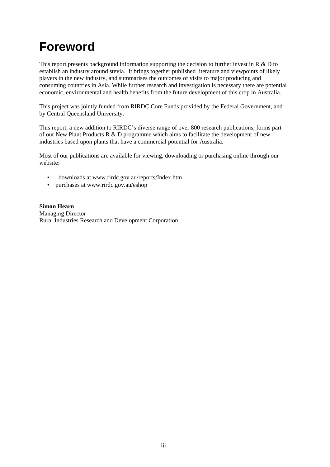# <span id="page-2-0"></span>**Foreword**

This report presents background information supporting the decision to further invest in R & D to establish an industry around stevia. It brings together published literature and viewpoints of likely players in the new industry, and summarises the outcomes of visits to major producing and consuming countries in Asia. While further research and investigation is necessary there are potential economic, environmental and health benefits from the future development of this crop in Australia.

This project was jointly funded from RIRDC Core Funds provided by the Federal Government, and by Central Queensland University.

This report, a new addition to RIRDC's diverse range of over 800 research publications, forms part of our New Plant Products R & D programme which aims to facilitate the development of new industries based upon plants that have a commercial potential for Australia.

Most of our publications are available for viewing, downloading or purchasing online through our website:

- downloads at www.rirdc.gov.au/reports/Index.htm
- purchases at www.rirdc.gov.au/eshop

**Simon Hearn**  Managing Director Rural Industries Research and Development Corporation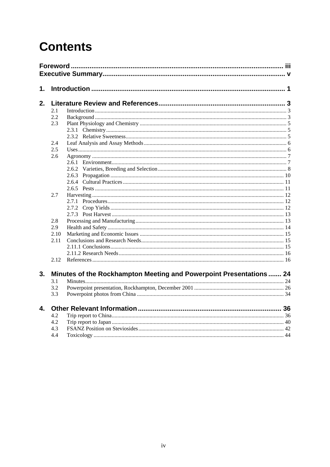# **Contents**

| 1. |      |                                                                    |  |
|----|------|--------------------------------------------------------------------|--|
| 2. |      |                                                                    |  |
|    | 2.1  |                                                                    |  |
|    | 2.2  |                                                                    |  |
|    | 2.3  |                                                                    |  |
|    |      |                                                                    |  |
|    |      |                                                                    |  |
|    | 2.4  |                                                                    |  |
|    | 2.5  |                                                                    |  |
|    | 2.6  |                                                                    |  |
|    |      |                                                                    |  |
|    |      |                                                                    |  |
|    |      |                                                                    |  |
|    |      |                                                                    |  |
|    |      |                                                                    |  |
|    | 2.7  |                                                                    |  |
|    |      |                                                                    |  |
|    |      |                                                                    |  |
|    | 2.8  |                                                                    |  |
|    | 2.9  |                                                                    |  |
|    | 2.10 |                                                                    |  |
|    | 2.11 |                                                                    |  |
|    |      |                                                                    |  |
|    |      |                                                                    |  |
|    | 2.12 |                                                                    |  |
|    |      |                                                                    |  |
| 3. |      | Minutes of the Rockhampton Meeting and Powerpoint Presentations 24 |  |
|    | 3.1  |                                                                    |  |
|    | 3.2  |                                                                    |  |
|    | 3.3  |                                                                    |  |
| 4. |      |                                                                    |  |
|    | 4.2  |                                                                    |  |
|    | 4.2  |                                                                    |  |
|    | 4.3  |                                                                    |  |
|    | 4.4  |                                                                    |  |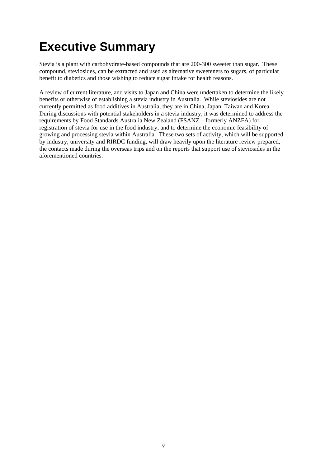# <span id="page-4-0"></span>**Executive Summary**

Stevia is a plant with carbohydrate-based compounds that are 200-300 sweeter than sugar. These compound, steviosides, can be extracted and used as alternative sweeteners to sugars, of particular benefit to diabetics and those wishing to reduce sugar intake for health reasons.

A review of current literature, and visits to Japan and China were undertaken to determine the likely benefits or otherwise of establishing a stevia industry in Australia. While steviosides are not currently permitted as food additives in Australia, they are in China, Japan, Taiwan and Korea. During discussions with potential stakeholders in a stevia industry, it was determined to address the requirements by Food Standards Australia New Zealand (FSANZ – formerly ANZFA) for registration of stevia for use in the food industry, and to determine the economic feasibility of growing and processing stevia within Australia. These two sets of activity, which will be supported by industry, university and RIRDC funding, will draw heavily upon the literature review prepared, the contacts made during the overseas trips and on the reports that support use of steviosides in the aforementioned countries.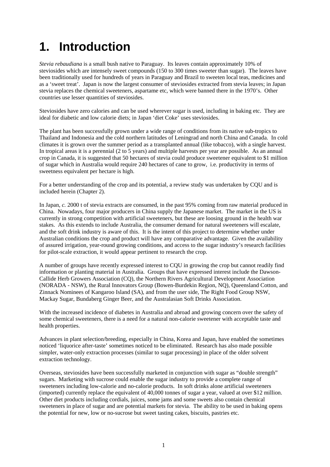# <span id="page-5-0"></span>**1. Introduction**

*Stevia rebaudiana* is a small bush native to Paraguay. Its leaves contain approximately 10% of steviosides which are intensely sweet compounds (150 to 300 times sweeter than sugar). The leaves have been traditionally used for hundreds of years in Paraguay and Brazil to sweeten local teas, medicines and as a 'sweet treat'. Japan is now the largest consumer of steviosides extracted from stevia leaves; in Japan stevia replaces the chemical sweeteners, aspartame etc, which were banned there in the 1970's. Other countries use lesser quantities of steviosides.

Steviosides have zero calories and can be used wherever sugar is used, including in baking etc. They are ideal for diabetic and low calorie diets; in Japan 'diet Coke' uses steviosides.

The plant has been successfully grown under a wide range of conditions from its native sub-tropics to Thailand and Indonesia and the cold northern latitudes of Leningrad and north China and Canada. In cold climates it is grown over the summer period as a transplanted annual (like tobacco), with a single harvest. In tropical areas it is a perennial (2 to 5 years) and multiple harvests per year are possible. As an annual crop in Canada, it is suggested that 50 hectares of stevia could produce sweetener equivalent to \$1 million of sugar which in Australia would require 240 hectares of cane to grow, i.e. productivity in terms of sweetness equivalent per hectare is high.

For a better understanding of the crop and its potential, a review study was undertaken by CQU and is included herein (Chapter 2).

In Japan, *c.* 2000 t of stevia extracts are consumed, in the past 95% coming from raw material produced in China. Nowadays, four major producers in China supply the Japanese market. The market in the US is currently in strong competition with artificial sweeteners, but these are loosing ground in the health war stakes. As this extends to include Australia, the consumer demand for natural sweeteners will escalate, and the soft drink industry is aware of this. It is the intent of this project to determine whether under Australian conditions the crop and product will have any comparative advantage. Given the availability of assured irrigation, year-round growing conditions, and access to the sugar industry's research facilities for pilot-scale extraction, it would appear pertinent to research the crop.

A number of groups have recently expressed interest to CQU in growing the crop but cannot readily find information or planting material in Australia. Groups that have expressed interest include the Dawson-Callide Herb Growers Association (CQ), the Northern Rivers Agricultural Development Association (NORADA - NSW), the Rural Innovators Group (Bowen-Burdekin Region, NQ), Queensland Cotton, and Zinnack Nominees of Kangaroo Island (SA), and from the user side, The Right Food Group NSW, Mackay Sugar, Bundaberg Ginger Beer, and the Australasian Soft Drinks Association.

With the increased incidence of diabetes in Australia and abroad and growing concern over the safety of some chemical sweeteners, there is a need for a natural non-calorie sweetener with acceptable taste and health properties.

Advances in plant selection/breeding, especially in China, Korea and Japan, have enabled the sometimes noticed 'liquorice after-taste' sometimes noticed to be eliminated. Research has also made possible simpler, water-only extraction processes (similar to sugar processing) in place of the older solvent extraction technology.

Overseas, steviosides have been successfully marketed in conjunction with sugar as "double strength" sugars. Marketing with sucrose could enable the sugar industry to provide a complete range of sweeteners including low-calorie and no-calorie products. In soft drinks alone artificial sweeteners (imported) currently replace the equivalent of 40,000 tonnes of sugar a year, valued at over \$12 million. Other diet products including cordials, juices, some jams and some sweets also contain chemical sweeteners in place of sugar and are potential markets for stevia. The ability to be used in baking opens the potential for new, low or no-sucrose but sweet tasting cakes, biscuits, pastries etc.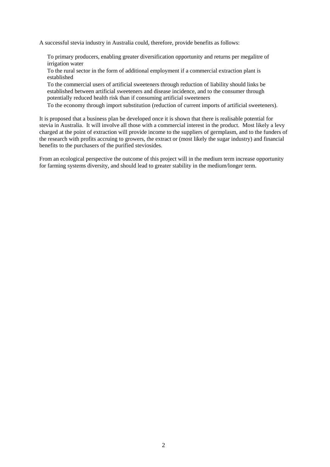A successful stevia industry in Australia could, therefore, provide benefits as follows:

To primary producers, enabling greater diversification opportunity and returns per megalitre of irrigation water

To the rural sector in the form of additional employment if a commercial extraction plant is established

To the commercial users of artificial sweeteners through reduction of liability should links be established between artificial sweeteners and disease incidence, and to the consumer through potentially reduced health risk than if consuming artificial sweeteners

To the economy through import substitution (reduction of current imports of artificial sweeteners).

It is proposed that a business plan be developed once it is shown that there is realisable potential for stevia in Australia. It will involve all those with a commercial interest in the product. Most likely a levy charged at the point of extraction will provide income to the suppliers of germplasm, and to the funders of the research with profits accruing to growers, the extract or (most likely the sugar industry) and financial benefits to the purchasers of the purified steviosides.

From an ecological perspective the outcome of this project will in the medium term increase opportunity for farming systems diversity, and should lead to greater stability in the medium/longer term.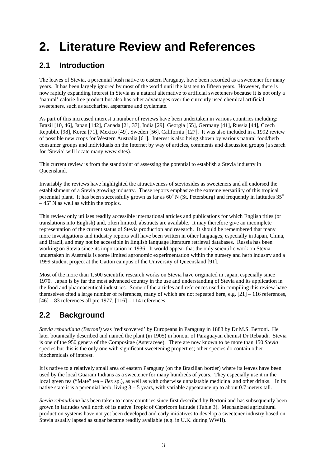# <span id="page-7-0"></span>**2. Literature Review and References**

### <span id="page-7-1"></span>**2.1 Introduction**

The leaves of Stevia, a perennial bush native to eastern Paraguay, have been recorded as a sweetener for many years. It has been largely ignored by most of the world until the last ten to fifteen years. However, there is now rapidly expanding interest in Stevia as a natural alternative to artificial sweeteners because it is not only a 'natural' calorie free product but also has other advantages over the currently used chemical artificial sweeteners, such as saccharine, aspartame and cyclamate.

As part of this increased interest a number of reviews have been undertaken in various countries including: Brazil [10, 46], Japan [142], Canada [21, 37], India [29], Georgia [55], Germany [41], Russia [44], Czech Republic [98], Korea [71], Mexico [49], Sweden [56], California [127]. It was also included in a 1992 review of possible new crops for Western Australia [61]. Interest is also being shown by various natural food/herb consumer groups and individuals on the Internet by way of articles, comments and discussion groups (a search for 'Stevia' will locate many www sites).

This current review is from the standpoint of assessing the potential to establish a Stevia industry in Queensland.

Invariably the reviews have highlighted the attractiveness of steviosides as sweeteners and all endorsed the establishment of a Stevia growing industry. These reports emphasize the extreme versatility of this tropical perennial plant. It has been successfully grown as far as  $60^{\circ}$  N (St. Petersburg) and frequently in latitudes  $35^{\circ}$  $-45^{\circ}$  N as well as within the tropics.

This review only utilises readily accessible international articles and publications for which English titles (or translations into English) and, often limited, abstracts are available. It may therefore give an incomplete representation of the current status of Stevia production and research. It should be remembered that many more investigations and industry reports will have been written in other languages, especially in Japan, China, and Brazil, and may not be accessible in English language literature retrieval databases. Russia has been working on Stevia since its importation in 1936. It would appear that the only scientific work on Stevia undertaken in Australia is some limited agronomic experimentation within the nursery and herb industry and a 1999 student project at the Gatton campus of the University of Queensland [91].

Most of the more than 1,500 scientific research works on Stevia have originated in Japan, especially since 1970. Japan is by far the most advanced country in the use and understanding of Stevia and its application in the food and pharmaceutical industries. Some of the articles and references used in compiling this review have themselves cited a large number of references, many of which are not repeated here, e.g. [21] – 116 references, [46] – 83 references all pre 1977, [116] – 114 references.

### <span id="page-7-2"></span>**2.2 Background**

*Stevia rebaudiana (Bertoni)* was 'rediscovered' by Europeans in Paraguay in 1888 by Dr M.S. Bertoni. He later botanically described and named the plant (in 1905) in honour of Paraguayan chemist Dr Rebaudi. Stevia is one of the 950 genera of the Compositae (Asteraceae). There are now known to be more than 150 *Stevia* species but this is the only one with significant sweetening properties; other species do contain other biochemicals of interest.

It is native to a relatively small area of eastern Paraguay (on the Brazilian border) where its leaves have been used by the local Guarani Indians as a sweetener for many hundreds of years. They especially use it in the local green tea ("Mate" tea – *Ilex* sp.), as well as with otherwise unpalatable medicinal and other drinks. In its native state it is a perennial herb, living 3 – 5 years, with variable appearance up to about 0.7 meters tall.

*Stevia rebaudiana* has been taken to many countries since first described by Bertoni and has subsequently been grown in latitudes well north of its native Tropic of Capricorn latitude (Table 3). Mechanized agricultural production systems have not yet been developed and early initiatives to develop a sweetener industry based on Stevia usually lapsed as sugar became readily available (e.g. in U.K. during WWII).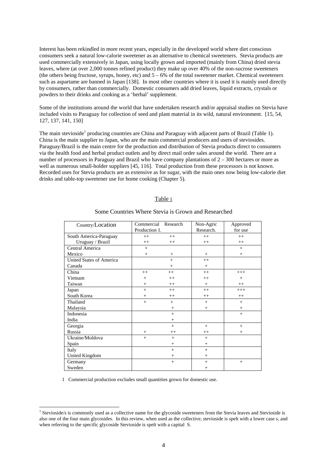Interest has been rekindled in more recent years, especially in the developed world where diet conscious consumers seek a natural low-calorie sweetener as an alternative to chemical sweeteners. Stevia products are used commercially extensively in Japan, using locally grown and imported (mainly from China) dried stevia leaves, where (at over 2,000 tonnes refined product) they make up over 40% of the non-sucrose sweeteners (the others being fructose, syrups, honey, etc) and  $5 - 6\%$  of the total sweetener market. Chemical sweeteners such as aspartame are banned in Japan [138]. In most other countries where it is used it is mainly used directly by consumers, rather than commercially. Domestic consumers add dried leaves, liquid extracts, crystals or powders to their drinks and cooking as a 'herbal' supplement.

Some of the institutions around the world that have undertaken research and/or appraisal studies on Stevia have included visits to Paraguay for collection of seed and plant material in its wild, natural environment. [15, 54, 127, 137, 141, 150]

The main stevioside<sup>1</sup> producing countries are China and Paraguay with adjacent parts of Brazil (Table 1). China is the main supplier to Japan, who are the main commercial producers and users of steviosides. Paraguay/Brazil is the main centre for the production and distribution of Stevia products direct to consumers via the health food and herbal product outlets and by direct mail order sales around the world. There are a number of processors in Paraguay and Brazil who have company plantations of 2 – 300 hectares or more as well as numerous small-holder suppliers [45, 116]. Total production from these processors is not known. Recorded uses for Stevia products are as extensive as for sugar, with the main ones now being low-calorie diet drinks and table-top sweetener use for home cooking (Chapter 5).

#### Table 1

| Country/Location         | Commercial    | Research | Non-Agric | Approved |
|--------------------------|---------------|----------|-----------|----------|
|                          | Production 1. |          | Research. | for use  |
| South America-Paraguay   | $^{++}$       | $++$     | $++$      | $^{++}$  |
| Uruguay / Brazil         | $++$          | $++$     | $++$      | $^{++}$  |
| Central America          | $^{+}$        |          |           | $+$      |
| Mexico                   | $^{+}$        | $+$      | $+$       | $^{+}$   |
| United States of America |               | $+$      | $++$      |          |
| Canada                   |               | $^{+}$   | $+$       |          |
| China                    | $++$          | $++$     | $++$      | $+++$    |
| Vietnam                  | $^{+}$        | $++$     | $^{++}$   | $^{+}$   |
| Taiwan                   | $^{+}$        | $++$     | $^{+}$    | $++$     |
| Japan                    | $^{+}$        | $^{++}$  | $++$      | $+++$    |
| South Korea              | $^{+}$        | $++$     | $++$      | $^{++}$  |
| Thailand                 | $^{+}$        | $^{+}$   | $^{+}$    | $+$      |
| Malaysia                 |               | $^{+}$   | $^{+}$    | $^{+}$   |
| Indonesia                |               | $^{+}$   |           | $+$      |
| India                    |               | $^{+}$   |           |          |
| Georgia                  |               | $+$      | $^{+}$    | $+$      |
| Russia                   | $^{+}$        | $++$     | $++$      | $^{+}$   |
| Ukraine/Moldova          | $^{+}$        | $^{+}$   | $^{+}$    |          |
| Spain                    |               | $^{+}$   | $^{+}$    |          |
| Italy                    |               | $^{+}$   | $+$       |          |
| United Kingdom           |               | $^{+}$   | $^{+}$    |          |
| Germany                  |               | $^{+}$   | $^{+}$    | $+$      |
| Sweden                   |               |          | $^{+}$    |          |

#### Some Countries Where Stevia is Grown and Researched

1 Commercial production excludes small quantities grown for domestic use.

l

<sup>&</sup>lt;sup>1</sup> Stevioside/s is commonly used as a collective name for the glycoside sweeteners from the Stevia leaves and Stevioside is also one of the four main glycosides. In this review, when used as the collective, stevioside is spelt with a lower case s, and when referring to the specific glycoside Stevioside is spelt with a capital S.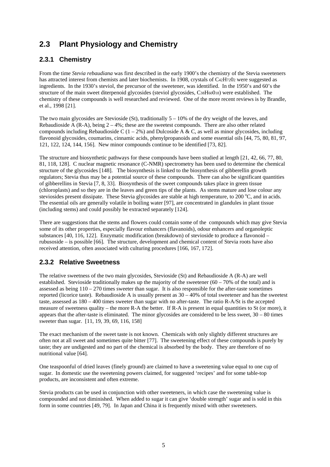### <span id="page-9-0"></span>**2.3 Plant Physiology and Chemistry**

### <span id="page-9-1"></span>**2.3.1 Chemistry**

From the time *Stevia rebaudiana* was first described in the early 1900's the chemistry of the Stevia sweeteners has attracted interest from chemists and later biochemists. In 1908, crystals of C42H72O2 were suggested as ingredients. In the 1930's steviol, the precursor of the sweetener, was identified. In the 1950's and 60's the structure of the main sweet diterpenoid glycosides (steviol glycosides, C38H60018) were established. The chemistry of these compounds is well researched and reviewed. One of the more recent reviews is by Brandle, et al., 1998 [21].

The two main glycosides are Stevioside (St), traditionally 5 – 10% of the dry weight of the leaves, and Rebaudioside A  $(R-A)$ , being  $2-4\%$ ; these are the sweetest compounds. There are also other related compounds including Rebaudioside C (1 – 2%) and Dulcoside A & C, as well as minor glycosides, including flavonoid glycosides, coumarins, cinnamic acids, phenylpropanoids and some essential oils [44, 75, 80, 81, 97, 121, 122, 124, 144, 156]. New minor compounds continue to be identified [73, 82].

The structure and biosynthetic pathways for these compounds have been studied at length [21, 42, 66, 77, 80, 81, 118, 128]. C nuclear magnetic resonance (C-NMR) spectrometry has been used to determine the chemical structure of the glycosides [148]. The biosynthesis is linked to the biosynthesis of gibberellin growth regulators; Stevia thus may be a potential source of these compounds. There can also be significant quantities of gibberellins in Stevia [7, 8, 33]. Biosynthesis of the sweet compounds takes place in green tissue (chloroplasts) and so they are in the leaves and green tips of the plants. As stems mature and lose colour any steviosides present dissipate. These Stevia glycosides are stable at high temperature, to 200 °C, and in acids. The essential oils are generally volatile in boiling water [97], are concentrated in glandules in plant tissue (including stems) and could possibly be extracted separately [124].

There are suggestions that the stems and flowers could contain some of the compounds which may give Stevia some of its other properties, especially flavour enhancers (flavanoids), odour enhancers and organoleptic substances [40, 116, 122]. Enzymatic modification (breakdown) of stevioside to produce a flavonoid – rubusoside – is possible [66]. The structure, development and chemical content of Stevia roots have also received attention, often associated with culturing procedures [166, 167, 172].

### <span id="page-9-2"></span>**2.3.2 Relative Sweetness**

The relative sweetness of the two main glycosides, Stevioside (St) and Rebaudioside A (R-A) are well established. Stevioside traditionally makes up the majority of the sweetener  $(60 - 70\%$  of the total) and is assessed as being  $110 - 270$  times sweeter than sugar. It is also responsible for the after-taste sometimes reported (licorice taste). Rebaudioside A is usually present as  $30 - 40\%$  of total sweetener and has the sweetest taste, assessed as 180 – 400 times sweeter than sugar with no after-taste. The ratio R-A/St is the accepted measure of sweetness quality – the more R-A the better. If R-A is present in equal quantities to St (or more), it appears that the after-taste is eliminated. The minor glycosides are considered to be less sweet, 30 – 80 times sweeter than sugar. [11, 19, 39, 69, 116, 158]

The exact mechanism of the sweet taste is not known. Chemicals with only slightly different structures are often not at all sweet and sometimes quite bitter [77]. The sweetening effect of these compounds is purely by taste; they are undigested and no part of the chemical is absorbed by the body. They are therefore of no nutritional value [64].

One teaspoonful of dried leaves (finely ground) are claimed to have a sweetening value equal to one cup of sugar. In domestic use the sweetening powers claimed, for suggested 'recipes' and for some table-top products, are inconsistent and often extreme.

Stevia products can be used in conjunction with other sweeteners, in which case the sweetening value is compounded and not diminished. When added to sugar it can give 'double strength' sugar and is sold in this form in some countries [49, 79]. In Japan and China it is frequently mixed with other sweeteners.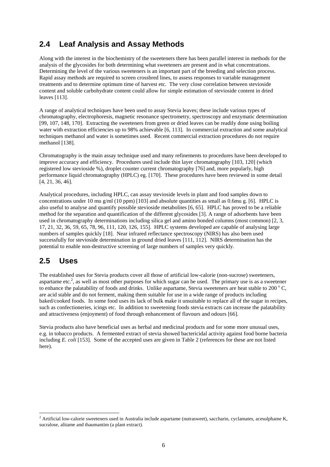### <span id="page-10-0"></span>**2.4 Leaf Analysis and Assay Methods**

Along with the interest in the biochemistry of the sweeteners there has been parallel interest in methods for the analysis of the glycosides for both determining what sweeteners are present and in what concentrations. Determining the level of the various sweeteners is an important part of the breeding and selection process. Rapid assay methods are required to screen crossbred lines, to assess responses to variable management treatments and to determine optimum time of harvest etc. The very close correlation between stevioside content and soluble carbohydrate content could allow for simple estimation of stevioside content in dried leaves [113].

A range of analytical techniques have been used to assay Stevia leaves; these include various types of chromatography, electrophoresis, magnetic resonance spectrometry, spectroscopy and enzymatic determination [99, 107, 148, 170]. Extracting the sweeteners from green or dried leaves can be readily done using boiling water with extraction efficiencies up to 98% achievable [6, 113]. In commercial extraction and some analytical techniques methanol and water is sometimes used. Recent commercial extraction procedures do not require methanol [138].

Chromatography is the main assay technique used and many refinements to procedures have been developed to improve accuracy and efficiency. Procedures used include thin layer chromatography [103, 120] (which registered low stevioside %), droplet counter current chromatography [76] and, more popularly, high performance liquid chromatography (HPLC) eg. [170]. These procedures have been reviewed in some detail [4, 21, 36, 46].

Analytical procedures, including HPLC, can assay stevioside levels in plant and food samples down to concentrations under 10 mu g/ml (10 ppm) [103] and absolute quantities as small as 0.6mu g. [6]. HPLC is also useful to analyse and quantify possible stevioside metabolites [6, 65]. HPLC has proved to be a reliable method for the separation and quantification of the different glycosides [3]. A range of adsorbents have been used in chromatography determinations including silica gel and amino bonded columns (most common) [2, 3, 17, 21, 32, 36, 59, 65, 78, 96, 111, 120, 126, 155]. HPLC systems developed are capable of analysing large numbers of samples quickly [18]. Near infrared reflectance spectroscopy (NIRS) has also been used successfully for stevioside determination in ground dried leaves [111, 112]. NIRS determination has the potential to enable non-destructive screening of large numbers of samples very quickly.

### <span id="page-10-1"></span>**2.5 Uses**

l

The established uses for Stevia products cover all those of artificial low-calorie (non-sucrose) sweeteners, aspartame etc.<sup>2</sup>, as well as most other purposes for which sugar can be used. The primary use is as a sweetener to enhance the palatability of foods and drinks. Unlike aspartame, Stevia sweeteners are heat stable to 200 $^{\circ}$  C, are acid stable and do not ferment, making them suitable for use in a wide range of products including baked/cooked foods. In some food uses its lack of bulk make it unsuitable to replace all of the sugar in recipes, such as confectioneries, icings etc. In addition to sweetening foods stevia extracts can increase the palatability and attractiveness (enjoyment) of food through enhancement of flavours and odours [66].

Stevia products also have beneficial uses as herbal and medicinal products and for some more unusual uses, e.g. in tobacco products. A fermented extract of stevia showed bactericidal activity against food borne bacteria including *E. coli* [153]. Some of the accepted uses are given in Table 2 (references for these are not listed here).

<sup>&</sup>lt;sup>2</sup> Artificial low-calorie sweeteners used in Australia include aspartame (nutrasweet), saccharin, cyclamates, acesulphame K, sucralose, alitame and thaumantim (a plant extract).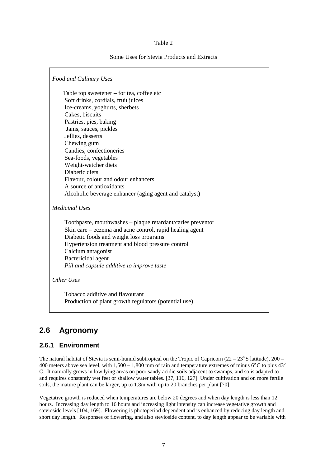#### Table 2

#### Some Uses for Stevia Products and Extracts

*Food and Culinary Uses*  Table top sweetener – for tea, coffee etc Soft drinks, cordials, fruit juices Ice-creams, yoghurts, sherbets Cakes, biscuits Pastries, pies, baking Jams, sauces, pickles Jellies, desserts Chewing gum Candies, confectioneries Sea-foods, vegetables Weight-watcher diets Diabetic diets Flavour, colour and odour enhancers A source of antioxidants Alcoholic beverage enhancer (aging agent and catalyst) *Medicinal Uses* 

 Toothpaste, mouthwashes – plaque retardant/caries preventor Skin care – eczema and acne control, rapid healing agent Diabetic foods and weight loss programs Hypertension treatment and blood pressure control Calcium antagonist Bactericidal agent  *Pill and capsule additive to improve taste* 

#### *Other Uses*

 Tobacco additive and flavourant Production of plant growth regulators (potential use)

### <span id="page-11-0"></span>**2.6 Agronomy**

### <span id="page-11-1"></span>**2.6.1 Environment**

The natural habitat of Stevia is semi-humid subtropical on the Tropic of Capricorn  $(22 - 23^{\circ} S)$  latitude), 200 – 400 meters above sea level, with  $1,500 - 1,800$  mm of rain and temperature extremes of minus  $6^{\circ}$ C to plus  $43^{\circ}$ C. It naturally grows in low lying areas on poor sandy acidic soils adjacent to swamps, and so is adapted to and requires constantly wet feet or shallow water tables. [37, 116, 127] Under cultivation and on more fertile soils, the mature plant can be larger, up to 1.8m with up to 20 branches per plant [70].

Vegetative growth is reduced when temperatures are below 20 degrees and when day length is less than 12 hours. Increasing day length to 16 hours and increasing light intensity can increase vegetative growth and stevioside levels [104, 169]. Flowering is photoperiod dependent and is enhanced by reducing day length and short day length. Responses of flowering, and also stevioside content, to day length appear to be variable with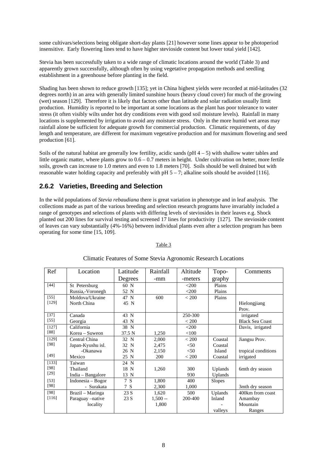some cultivars/selections being obligate short-day plants [21] however some lines appear to be photoperiod insensitive. Early flowering lines tend to have higher stevioside content but lower total yield [142].

Stevia has been successfully taken to a wide range of climatic locations around the world (Table 3) and apparently grown successfully, although often by using vegetative propagation methods and seedling establishment in a greenhouse before planting in the field.

Shading has been shown to reduce growth [135]; yet in China highest yields were recorded at mid-latitudes (32 degrees north) in an area with generally limited sunshine hours (heavy cloud cover) for much of the growing (wet) season [129]. Therefore it is likely that factors other than latitude and solar radiation usually limit production. Humidity is reported to be important at some locations as the plant has poor tolerance to water stress (it often visibly wilts under hot dry conditions even with good soil moisture levels). Rainfall in many locations is supplemented by irrigation to avoid any moisture stress. Only in the more humid wet areas may rainfall alone be sufficient for adequate growth for commercial production. Climatic requirements, of day length and temperature, are different for maximum vegetative production and for maximum flowering and seed production [61].

Soils of the natural habitat are generally low fertility, acidic sands ( $pH 4 - 5$ ) with shallow water tables and little organic matter, where plants grow to  $0.6 - 0.7$  meters in height. Under cultivation on better, more fertile soils, growth can increase to 1.0 meters and even to 1.8 meters [70]. Soils should be well drained but with reasonable water holding capacity and preferably with  $pH 5 - 7$ ; alkaline soils should be avoided [116].

### <span id="page-12-0"></span>**2.6.2 Varieties, Breeding and Selection**

In the wild populations of *Stevia rebaudiana* there is great variation in phenotype and in leaf analysis. The collections made as part of the various breeding and selection research programs have invariably included a range of genotypes and selections of plants with differing levels of steviosides in their leaves e.g. Shock planted out 200 lines for survival testing and screened 17 lines for productivity [127]. The stevioside content of leaves can vary substantially (4%-16%) between individual plants even after a selection program has been operating for some time [15, 109].

#### Table 3

| Ref     | Location              | Latitude | Rainfall  | Altitude | Topo-          | Comments                            |
|---------|-----------------------|----------|-----------|----------|----------------|-------------------------------------|
|         |                       | Degrees  | -mm       | -meters  | graphy         |                                     |
| $[44]$  | St Petersburg         | 60 N     |           | $<$ 200  | Plains         |                                     |
|         | Russia,-Voronegh      | 52 N     |           | $<$ 200  | Plains         |                                     |
| $[55]$  | Moldova/Ukraine       | 47 N     | 600       | < 200    | Plains         |                                     |
| $[129]$ | North China           | 45 N     |           |          |                | Hielongjiang<br>Prov.               |
| $[37]$  | Canada                | 43 N     |           | 250-300  |                |                                     |
| $[55]$  |                       | 43 N     |           | < 200    |                | irrigated<br><b>Black Sea Coast</b> |
| [127]   | Georgia<br>California | 38 N     |           | $<$ 200  |                |                                     |
| [88]    |                       |          |           |          |                | Davis, irrigated                    |
|         | Korea – Suweon        | 37.5 N   | 1,250     | < 100    |                |                                     |
| [129]   | Central China         | 32 N     | 2,000     | < 200    | Coastal        | Jiangsu Prov.                       |
| $[98]$  | Japan-Kyushu isl.     | 32 N     | 2,475     | $<$ 50   | Coastal        |                                     |
|         | -Okanawa              | 26 N     | 2,150     | $<$ 50   | Island         | tropical conditions                 |
| $[49]$  | Mexico                | 25 N     | 200       | < 200    | Coastal        | irrigated                           |
| [133]   | Taiwan                | 24 N     |           |          |                |                                     |
| [98]    | Thailand              | 18 N     | 1,260     | 300      | Uplands        | 6mth dry season                     |
| [29]    | India - Bangalore     | 13 N     |           | 930      | <b>Uplands</b> |                                     |
| $[53]$  | $Indonesia - Bogor$   | 7 S      | 1,800     | 400      | Slopes         |                                     |
| $[98]$  | - Surakata            | 7 S      | 2,300     | 1,000    |                | 3mth dry season                     |
| [98]    | Brazil – Maringa      | 23S      | 1,620     | 500      | Uplands        | 400km from coast                    |
| $[116]$ | Paraguay – native     | 23S      | $1,500 -$ | 200-400  | Inland         | Amambay                             |
|         | locality              |          | 1,800     |          |                | Mountain                            |
|         |                       |          |           |          | valleys        | Ranges                              |

#### Climatic Features of Some Stevia Agronomic Research Locations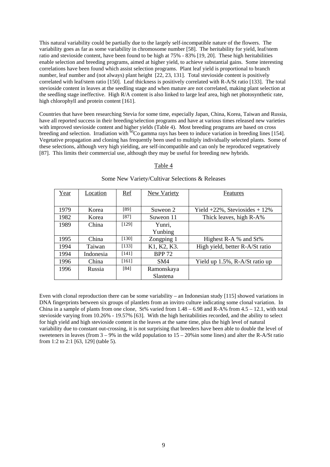This natural variability could be partially due to the largely self-incompatible nature of the flowers. The variability goes as far as some variability in chromosome number [58]. The heritability for yield, leaf/stem ratio and stevioside content, have been found to be high at 75% - 83% [19, 20]. These high heritabilities enable selection and breeding programs, aimed at higher yield, to achieve substantial gains. Some interesting correlations have been found which assist selection programs. Plant leaf yield is proportional to branch number, leaf number and (not always) plant height [22, 23, 131]. Total stevioside content is positively correlated with leaf/stem ratio [150]. Leaf thickness is positively correlated with R-A/St ratio [133]. The total stevioside content in leaves at the seedling stage and when mature are not correlated, making plant selection at the seedling stage ineffective. High R/A content is also linked to large leaf area, high net photosynthetic rate, high chlorophyll and protein content [161].

Countries that have been researching Stevia for some time, especially Japan, China, Korea, Taiwan and Russia, have all reported success in their breeding/selection programs and have at various times released new varieties with improved stevioside content and higher yields (Table 4). Most breeding programs are based on cross breeding and selection. Irradiation with <sup>60</sup>Co gamma rays has been to induce variation in breeding lines [154]. Vegetative propagation and cloning has frequently been used to multiply individually selected plants. Some of these selections, although very high yielding, are self-incompatible and can only be reproduced vegetatively [87]. This limits their commercial use, although they may be useful for breeding new hybrids.

#### Table 4

| Year | Location  | <b>Ref</b> | New Variety   | Features                            |
|------|-----------|------------|---------------|-------------------------------------|
|      |           |            |               |                                     |
| 1979 | Korea     | [89]       | Suweon 2      | Yield $+22\%$ , Steviosides $+12\%$ |
| 1982 | Korea     | [87]       | Suweon 11     | Thick leaves, high R-A%             |
| 1989 | China     | [129]      | Yunri,        |                                     |
|      |           |            | Yunbing       |                                     |
| 1995 | China     | [130]      | Zongping 1    | Highest R-A % and St%               |
| 1994 | Taiwan    | [133]      | K1, K2, K3.   | High yield, better R-A/St ratio     |
| 1994 | Indonesia | [141]      | <b>BPP 72</b> |                                     |
| 1996 | China     | $[161]$    | SM4           | Yield up 1.5%, R-A/St ratio up      |
| 1996 | Russia    | [84]       | Ramonskaya    |                                     |
|      |           |            | Slastena      |                                     |

#### Some New Variety/Cultivar Selections & Releases

Even with clonal reproduction there can be some variability – an Indonesian study [115] showed variations in DNA fingerprints between six groups of plantlets from an invitro culture indicating some clonal variation. In China in a sample of plants from one clone, St% varied from  $1.48 - 6.98$  and R-A% from  $4.5 - 12.1$ , with total stevioside varying from 10.26% - 19.57% [63]. With the high heritabilities recorded, and the ability to select for high yield and high stevioside content in the leaves at the same time, plus the high level of natural variability due to constant out-crossing, it is not surprising that breeders have been able to double the level of sweeteners in leaves (from  $3 - 9\%$  in the wild population to  $15 - 20\%$  in some lines) and alter the R-A/St ratio from 1:2 to 2:1 [63, 129] (table 5).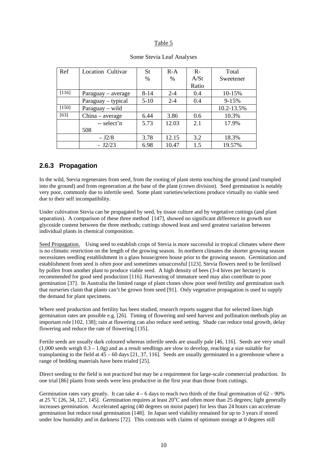### Table 5

| Ref     | Location Cultivar  | St       | $R-A$   | $R-$  | Total      |
|---------|--------------------|----------|---------|-------|------------|
|         |                    | $\%$     | $\%$    | A/St  | Sweetener  |
|         |                    |          |         | Ratio |            |
| $[116]$ | Paraguay – average | $8 - 14$ | $2 - 4$ | 0.4   | 10-15%     |
|         | Paraguay – typical | $5 - 10$ | $2 - 4$ | 0.4   | 9-15%      |
| [150]   | $Paraguay - wild$  |          |         |       | 10.2-13.5% |
| [63]    | $China - average$  | 6.44     | 3.86    | 0.6   | 10.3%      |
|         | -- select'n        | 5.73     | 12.03   | 2.1   | 17.9%      |
|         | 508                |          |         |       |            |
|         | $-12/8$            | 3.78     | 12.15   | 3.2   | 18.3%      |
|         | $-J2/23$           | 6.98     | 10.47   | 15    | 19.57%     |

#### Some Stevia Leaf Analyses

### <span id="page-14-0"></span>**2.6.3 Propagation**

In the wild, Stevia regenerates from seed, from the rooting of plant stems touching the ground (and trampled into the ground) and from regeneration at the base of the plant (crown division). Seed germination is notably very poor, commonly due to infertile seed. Some plant varieties/selections produce virtually no viable seed due to their self incompatibility.

Under cultivation Stevia can be propagated by seed, by tissue culture and by vegetative cuttings (and plant separation). A comparison of these three method [147], showed no significant difference in growth nor glycoside content between the three methods; cuttings showed least and seed greatest variation between individual plants in chemical composition.

Seed Propagation. Using seed to establish crops of Stevia is more successful in tropical climates where there is no climatic restriction on the length of the growing season. In northern climates the shorter growing season necessitates seedling establishment in a glass house/green house prior to the growing season. Germination and establishment from seed is often poor and sometimes unsuccessful [123]. Stevia flowers need to be fertilised by pollen from another plant to produce viable seed. A high density of bees (3-4 hives per hectare) is recommended for good seed production [116]. Harvesting of immature seed may also contribute to poor germination [37]. In Australia the limited range of plant clones show poor seed fertility and germination such that nurseries claim that plants can't be grown from seed [91]. Only vegetative propagation is used to supply the demand for plant specimens.

Where seed production and fertility has been studied, research reports suggest that for selected lines high germination rates are possible e.g. [26]. Timing of flowering and seed harvest and pollination methods play an important role [102, 138]; rain at flowering can also reduce seed setting. Shade can reduce total growth, delay flowering and reduce the rate of flowering [135].

Fertile seeds are usually dark coloured whereas infertile seeds are usually pale [46, 116]. Seeds are very small (1,000 seeds weigh 0.3 – 1.0g) and as a result seedlings are slow to develop, reaching a size suitable for transplanting to the field at 45 – 60 days [21, 37, 116]. Seeds are usually germinated in a greenhouse where a range of bedding materials have been trialed [25].

Direct seeding to the field is not practiced but may be a requirement for large-scale commercial production. In one trial [86] plants from seeds were less productive in the first year than those from cuttings.

Germination rates vary greatly. It can take  $4 - 6$  days to reach two thirds of the final germination of  $62 - 90\%$ at 25 °C [26, 34, 127, 145]. Germination requires at least  $20^{\circ}$ C and often more than 25 degrees; light generally increases germination. Accelerated ageing (40 degrees on moist paper) for less than 24 hours can accelerate germination but reduce total germination [148]. In Japan seed viability remained for up to 3 years if stored under low humidity and in darkness [72]. This contrasts with claims of optimum storage at 0 degrees still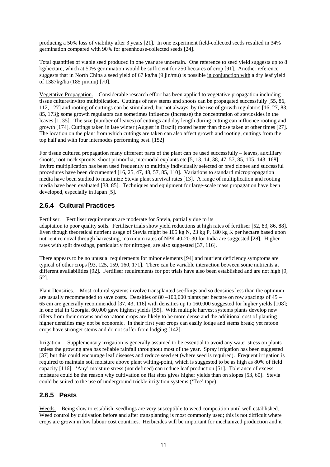producing a 50% loss of viability after 3 years [21]. In one experiment field-collected seeds resulted in 34% germination compared with 90% for greenhouse-collected seeds [24].

Total quantities of viable seed produced in one year are uncertain. One reference to seed yield suggests up to 8 kg/hectare, which at 50% germination would be sufficient for 250 hectares of crop [91]. Another reference suggests that in North China a seed yield of 67 kg/ha (9 jin/mu) is possible in conjunction with a dry leaf yield of 1387kg/ha (185 jin/mu) [70].

Vegetative Propagation. Considerable research effort has been applied to vegetative propagation including tissue culture/invitro multiplication. Cuttings of new stems and shoots can be propagated successfully [55, 86, 112, 127] and rooting of cuttings can be stimulated, but not always, by the use of growth regulators [16, 27, 83, 85, 173]; some growth regulators can sometimes influence (increase) the concentration of steviosides in the leaves [1, 35]. The size (number of leaves) of cuttings and day length during cutting can influence rooting and growth [174]. Cuttings taken in late winter (August in Brazil) rooted better than those taken at other times [27]. The location on the plant from which cuttings are taken can also affect growth and rooting, cuttings from the top half and with four internodes performing best. [152]

For tissue cultured propagation many different parts of the plant can be used successfully – leaves, auxilliary shoots, root-neck sprouts, shoot primordia, internodal explants etc [5, 13, 14, 38, 47, 57, 85, 105, 143, 168]. Invitro multiplication has been used frequently to multiply individually selected or bred clones and successful procedures have been documented [16, 25, 47, 48, 57, 85, 110]. Variations to standard micropropagation media have been studied to maximize Stevia plant survival rates [13]. A range of multiplication and rooting media have been evaluated [38, 85]. Techniques and equipment for large-scale mass propagation have been developed, especially in Japan [5].

### <span id="page-15-0"></span>**2.6.4 Cultural Practices**

Fertiliser. Fertiliser requirements are moderate for Stevia, partially due to its adaptation to poor quality soils. Fertiliser trials show yield reductions at high rates of fertiliser [52, 83, 86, 88]. Even though theoretical nutrient usage of Stevia might be 105 kg N, 23 kg P, 180 kg K per hectare based upon nutrient removal through harvesting, maximum rates of NPK 40-20-30 for India are suggested [28]. Higher rates with split dressings, particularly for nitrogen, are also suggested [37, 116].

There appears to be no unusual requirements for minor elements [94] and nutrient deficiency symptoms are typical of other crops [93, 125, 159, 160, 171]. There can be variable interaction between some nutrients at different availabilities [92]. Fertiliser requirements for pot trials have also been established and are not high [9, 52].

Plant Densities. Most cultural systems involve transplanted seedlings and so densities less than the optimum are usually recommended to save costs. Densities of 80 –100,000 plants per hectare on row spacings of 45 – 65 cm are generally recommended [37, 43, 116] with densities up to 160,000 suggested for higher yields [108]; in one trial in Georgia, 60,000 gave highest yields [55]. With multiple harvest systems plants develop new tillers from their crowns and so ratoon crops are likely to be more dense and the additional cost of planting higher densities may not be economic. In their first year crops can easily lodge and stems break; yet ratoon crops have stronger stems and do not suffer from lodging [142].

Irrigation. Supplementary irrigation is generally assumed to be essential to avoid any water stress on plants unless the growing area has reliable rainfall throughout most of the year. Spray irrigation has been suggested [37] but this could encourage leaf diseases and reduce seed set (where seed is required). Frequent irrigation is required to maintain soil moisture above plant wilting-point, which is suggested to be as high as 80% of field capacity [116]. 'Any' moisture stress (not defined) can reduce leaf production [51]. Tolerance of excess moisture could be the reason why cultivation on flat sites gives higher yields than on slopes [53, 60]. Stevia could be suited to the use of underground trickle irrigation systems ('Tee' tape)

### <span id="page-15-1"></span>**2.6.5 Pests**

Weeds. Being slow to establish, seedlings are very susceptible to weed competition until well established. Weed control by cultivation before and after transplanting is most commonly used; this is not difficult where crops are grown in low labour cost countries. Herbicides will be important for mechanized production and it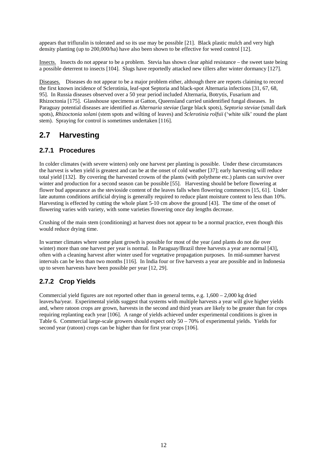appears that trifluralin is tolerated and so its use may be possible [21]. Black plastic mulch and very high density planting (up to 200,000/ha) have also been shown to be effective for weed control [12].

Insects. Insects do not appear to be a problem. Stevia has shown clear aphid resistance – the sweet taste being a possible deterrent to insects [104]. Slugs have reportedly attacked new tillers after winter dormancy [127].

Diseases. Diseases do not appear to be a major problem either, although there are reports claiming to record the first known incidence of Sclerotinia, leaf-spot Septoria and black-spot Alternaria infections [31, 67, 68, 95]. In Russia diseases observed over a 50 year period included Alternaria, Botrytis, Fusarium and Rhizoctonia [175]. Glasshouse specimens at Gatton, Queensland carried unidentified fungal diseases. In Paraguay potential diseases are identified as *Alternaria steviae* (large black spots), *Septoria steviae* (small dark spots), *Rhizoctonia solani* (stem spots and wilting of leaves) and *Sclerotinia rolfsii* ('white silk' round the plant stem). Spraying for control is sometimes undertaken [116].

### <span id="page-16-0"></span>**2.7 Harvesting**

### <span id="page-16-1"></span>**2.7.1 Procedures**

In colder climates (with severe winters) only one harvest per planting is possible. Under these circumstances the harvest is when yield is greatest and can be at the onset of cold weather [37]; early harvesting will reduce total yield [132]. By covering the harvested crowns of the plants (with polythene etc.) plants can survive over winter and production for a second season can be possible [55]. Harvesting should be before flowering at flower bud appearance as the stevioside content of the leaves falls when flowering commences [15, 61]. Under late autumn conditions artificial drying is generally required to reduce plant moisture content to less than 10%. Harvesting is effected by cutting the whole plant 5-10 cm above the ground [43]. The time of the onset of flowering varies with variety, with some varieties flowering once day lengths decrease.

Crushing of the main stem (conditioning) at harvest does not appear to be a normal practice, even though this would reduce drying time.

In warmer climates where some plant growth is possible for most of the year (and plants do not die over winter) more than one harvest per year is normal. In Paraguay/Brazil three harvests a year are normal [43], often with a cleaning harvest after winter used for vegetative propagation purposes. In mid-summer harvest intervals can be less than two months [116]. In India four or five harvests a year are possible and in Indonesia up to seven harvests have been possible per year [12, 29].

### <span id="page-16-2"></span>**2.7.2 Crop Yields**

Commercial yield figures are not reported other than in general terms, e.g.  $1.600 - 2.000$  kg dried leaves/ha/year. Experimental yields suggest that systems with multiple harvests a year will give higher yields and, where ratoon crops are grown, harvests in the second and third years are likely to be greater than for crops requiring replanting each year [106]. A range of yields achieved under experimental conditions is given in Table 6. Commercial large-scale growers should expect only 50 – 70% of experimental yields. Yields for second year (ratoon) crops can be higher than for first year crops [106].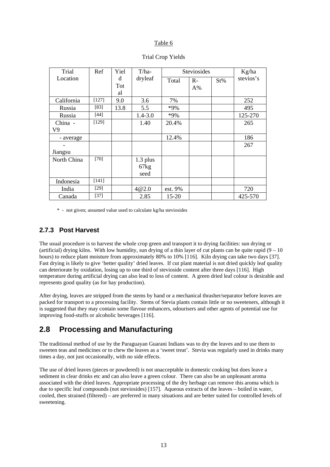### Table 6

| Trial       | Ref     | Yiel | $T/ha-$     |         | Steviosides |        | Kg/ha     |
|-------------|---------|------|-------------|---------|-------------|--------|-----------|
| Location    |         | d    | dryleaf     | Total   | $R-$        | $St\%$ | stevios's |
|             |         | Tot  |             |         | $A\%$       |        |           |
|             |         | al   |             |         |             |        |           |
| California  | $[127]$ | 9.0  | 3.6         | 7%      |             |        | 252       |
| Russia      | [83]    | 13.8 | 5.5         | $*9\%$  |             |        | 495       |
| Russia      | [44]    |      | $1.4 - 3.0$ | $*9\%$  |             |        | 125-270   |
| China -     | [129]   |      | 1.40        | 20.4%   |             |        | 265       |
| V9          |         |      |             |         |             |        |           |
| - average   |         |      |             | 12.4%   |             |        | 186       |
|             |         |      |             |         |             |        | 267       |
| Jiangsu     |         |      |             |         |             |        |           |
| North China | $[70]$  |      | 1.3 plus    |         |             |        |           |
|             |         |      | 67kg        |         |             |        |           |
|             |         |      | seed        |         |             |        |           |
| Indonesia   | [141]   |      |             |         |             |        |           |
| India       | $[29]$  |      | 4@2.0       | est. 9% |             |        | 720       |
| Canada      | $[37]$  |      | 2.85        | 15-20   |             |        | 425-570   |

Trial Crop Yields

\* - not given; assumed value used to calculate kg/ha steviosides

### <span id="page-17-0"></span>**2.7.3 Post Harvest**

The usual procedure is to harvest the whole crop green and transport it to drying facilities: sun drying or (artificial) drying kilns. With low humidity, sun drying of a thin layer of cut plants can be quite rapid  $(9 - 10)$ hours) to reduce plant moisture from approximately 80% to 10% [116]. Kiln drying can take two days [37]. Fast drying is likely to give 'better quality' dried leaves. If cut plant material is not dried quickly leaf quality can deteriorate by oxidation, losing up to one third of stevioside content after three days [116]. High temperature during artificial drying can also lead to loss of content. A green dried leaf colour is desirable and represents good quality (as for hay production).

After drying, leaves are stripped from the stems by hand or a mechanical thrasher/separator before leaves are packed for transport to a processing facility. Stems of Stevia plants contain little or no sweeteners, although it is suggested that they may contain some flavour enhancers, odourisers and other agents of potential use for improving food-stuffs or alcoholic beverages [116].

### <span id="page-17-1"></span>**2.8 Processing and Manufacturing**

The traditional method of use by the Paraguayan Guarani Indians was to dry the leaves and to use them to sweeten teas and medicines or to chew the leaves as a 'sweet treat'. Stevia was regularly used in drinks many times a day, not just occasionally, with no side effects.

The use of dried leaves (pieces or powdered) is not unacceptable in domestic cooking but does leave a sediment in clear drinks etc and can also leave a green colour. There can also be an unpleasant aroma associated with the dried leaves. Appropriate processing of the dry herbage can remove this aroma which is due to specific leaf compounds (not steviosides) [157]. Aqueous extracts of the leaves – boiled in water, cooled, then strained (filtered) – are preferred in many situations and are better suited for controlled levels of sweetening.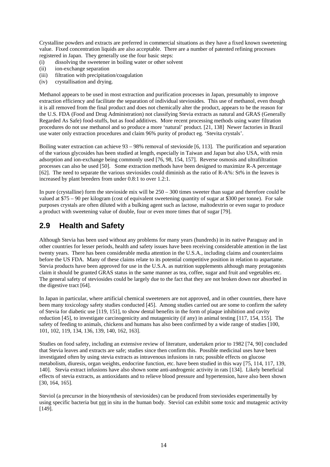Crystalline powders and extracts are preferred in commercial situations as they have a fixed known sweetening value. Fixed concentration liquids are also acceptable. There are a number of patented refining processes registered in Japan. They generally use the four basic steps:

- (i) dissolving the sweetener in boiling water or other solvent
- (ii) ion-exchange separation
- (iii) filtration with precipitation/coagulation
- (iv) crystallisation and drying.

Methanol appears to be used in most extraction and purification processes in Japan, presumably to improve extraction efficiency and facilitate the separation of individual steviosides. This use of methanol, even though it is all removed from the final product and does not chemically alter the product, appears to be the reason for the U.S. FDA (Food and Drug Administration) not classifying Stevia extracts as natural and GRAS (Generally Regarded As Safe) food-stuffs, but as food additives. More recent processing methods using water filtration procedures do not use methanol and so produce a more 'natural' product. [21, 138] Newer factories in Brazil use water only extraction procedures and claim 96% purity of product eg. 'Stevita crystals'.

Boiling water extraction can achieve 93 – 98% removal of stevioside [6, 113]. The purification and separation of the various glycosides has been studied at length, especially in Taiwan and Japan but also USA, with resin adsorption and ion-exchange being commonly used [76, 98, 154, 157]. Reverse osmosis and ultrafiltration processes can also be used [50]. Some extraction methods have been designed to maximize R-A percentage [62]. The need to separate the various steviosides could diminish as the ratio of R-A%: St% in the leaves is increased by plant breeders from under 0.8:1 to over 1.2:1.

In pure (crystalline) form the stevioside mix will be 250 – 300 times sweeter than sugar and therefore could be valued at \$75 – 90 per kilogram (cost of equivalent sweetening quantity of sugar at \$300 per tonne). For sale purposes crystals are often diluted with a bulking agent such as lactose, maltodextrin or even sugar to produce a product with sweetening value of double, four or even more times that of sugar [79].

### <span id="page-18-0"></span>**2.9 Health and Safety**

Although Stevia has been used without any problems for many years (hundreds) in its native Paraguay and in other countries for lesser periods, health and safety issues have been receiving considerable attention in the last twenty years. There has been considerable media attention in the U.S.A., including claims and counterclaims before the US FDA. Many of these claims relate to its potential competitive position in relation to aspartame. Stevia products have been approved for use in the U.S.A. as nutrition supplements although many protagonists claim it should be granted GRAS status in the same manner as tea, coffee, sugar and fruit and vegetables etc. The general safety of steviosides could be largely due to the fact that they are not broken down nor absorbed in the digestive tract [64].

In Japan in particular, where artificial chemical sweeteners are not approved, and in other countries, there have been many toxicology safety studies conducted [45]. Among studies carried out are some to confirm the safety of Stevia for diabetic use [119, 151], to show dental benefits in the form of plaque inhibition and cavity reduction [45], to investigate carcinogenicity and mutagenicity (if any) in animal testing [117, 154, 155]. The safety of feeding to animals, chickens and humans has also been confirmed by a wide range of studies [100, 101, 102, 119, 134, 136, 139, 140, 162, 163].

Studies on food safety, including an extensive review of literature, undertaken prior to 1982 [74, 90] concluded that Stevia leaves and extracts are safe; studies since then confirm this. Possible medicinal uses have been investigated often by using stevia extracts as intravenous infusions in rats; possible effects on glucose metabolism, diuresis, organ weights, endocrine function, etc. have been studied in this way [75, 114, 117, 139, 140]. Stevia extract infusions have also shown some anti-androgenic activity in rats [134]. Likely beneficial effects of stevia extracts, as antioxidants and to relieve blood pressure and hypertension, have also been shown [30, 164, 165].

Steviol (a precursor in the biosynthesis of steviosides) can be produced from steviosides experimentally by using specific bacteria but not in situ in the human body. Steviol can exhibit some toxic and mutagenic activity [149].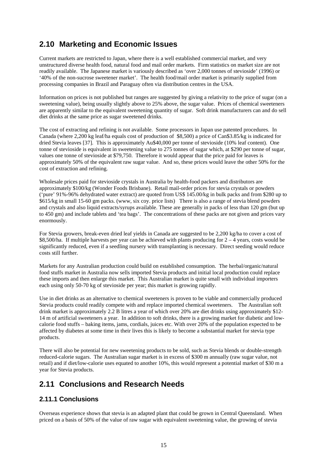### <span id="page-19-0"></span>**2.10 Marketing and Economic Issues**

Current markets are restricted to Japan, where there is a well established commercial market, and very unstructured diverse health food, natural food and mail order markets. Firm statistics on market size are not readily available. The Japanese market is variously described as 'over 2,000 tonnes of stevioside' (1996) or '40% of the non-sucrose sweetener market'. The health food/mail order market is primarily supplied from processing companies in Brazil and Paraguay often via distribution centres in the USA.

Information on prices is not published but ranges are suggested by giving a relativity to the price of sugar (on a sweetening value), being usually slightly above to 25% above, the sugar value. Prices of chemical sweeteners are apparently similar to the equivalent sweetening quantity of sugar. Soft drink manufacturers can and do sell diet drinks at the same price as sugar sweetened drinks.

The cost of extracting and refining is not available. Some processors in Japan use patented procedures. In Canada (where 2,200 kg leaf/ha equals cost of production of \$8,500) a price of Can\$3.85/kg is indicated for dried Stevia leaves [37]. This is approximately Au\$40,000 per tonne of stevioside (10% leaf content). One tonne of stevioside is equivalent in sweetening value to 275 tonnes of sugar which, at \$290 per tonne of sugar, values one tonne of stevioside at \$79,750. Therefore it would appear that the price paid for leaves is approximately 50% of the equivalent raw sugar value. And so, these prices would leave the other 50% for the cost of extraction and refining.

Wholesale prices paid for stevioside crystals in Australia by health-food packers and distributors are approximately \$100/kg (Wonder Foods Brisbane). Retail mail-order prices for stevia crystals or powders ('pure' 91%-96% dehydrated water extract) are quoted from US\$ 145.00/kg in bulk packs and from \$280 up to \$615/kg in small 15-60 gm packs. (www, six coy. price lists) There is also a range of stevia blend powders and crystals and also liquid extracts/syrups available. These are generally in packs of less than 120 gm (but up to 450 gm) and include tablets and 'tea bags'. The concentrations of these packs are not given and prices vary enormously.

For Stevia growers, break-even dried leaf yields in Canada are suggested to be 2,200 kg/ha to cover a cost of \$8,500/ha. If multiple harvests per year can be achieved with plants producing for 2 – 4 years, costs would be significantly reduced, even if a seedling nursery with transplanting is necessary. Direct seeding would reduce costs still further.

Markets for any Australian production could build on established consumption. The herbal/organic/natural food stuffs market in Australia now sells imported Stevia products and initial local production could replace these imports and then enlarge this market. This Australian market is quite small with individual importers each using only 50-70 kg of stevioside per year; this market is growing rapidly.

Use in diet drinks as an alternative to chemical sweeteners is proven to be viable and commercially produced Stevia products could readily compete with and replace imported chemical sweeteners. The Australian soft drink market is approximately 2.2 B litres a year of which over 20% are diet drinks using approximately \$12- 14 m of artificial sweeteners a year. In addition to soft drinks, there is a growing market for diabetic and lowcalorie food stuffs – baking items, jams, cordials, juices etc. With over 20% of the population expected to be affected by diabetes at some time in their lives this is likely to become a substantial market for stevia type products.

There will also be potential for new sweetening products to be sold, such as Stevia blends or double-strength reduced-calorie sugars. The Australian sugar market is in excess of \$300 m annually (raw sugar value, not retail) and if diet/low-calorie uses equated to another 10%, this would represent a potential market of \$30 m a year for Stevia products.

### <span id="page-19-1"></span>**2.11 Conclusions and Research Needs**

### <span id="page-19-2"></span>**2.11.1 Conclusions**

Overseas experience shows that stevia is an adapted plant that could be grown in Central Queensland. When priced on a basis of 50% of the value of raw sugar with equivalent sweetening value, the growing of stevia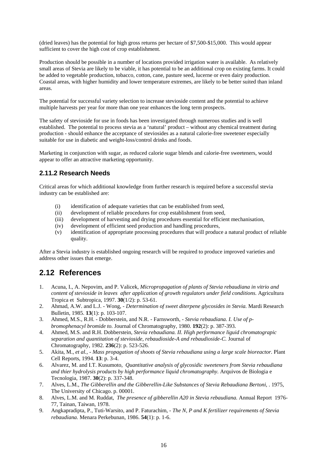(dried leaves) has the potential for high gross returns per hectare of \$7,500-\$15,000. This would appear sufficient to cover the high cost of crop establishment.

Production should be possible in a number of locations provided irrigation water is available. As relatively small areas of Stevia are likely to be viable, it has potential to be an additional crop on existing farms. It could be added to vegetable production, tobacco, cotton, cane, pasture seed, lucerne or even dairy production. Coastal areas, with higher humidity and lower temperature extremes, are likely to be better suited than inland areas.

The potential for successful variety selection to increase stevioside content and the potential to achieve multiple harvests per year for more than one year enhances the long term prospects.

The safety of stevioside for use in foods has been investigated through numerous studies and is well established. The potential to process stevia as a 'natural' product – without any chemical treatment during production - should enhance the acceptance of steviosides as a natural calorie-free sweetener especially suitable for use in diabetic and weight-loss/control drinks and foods.

Marketing in conjunction with sugar, as reduced calorie sugar blends and calorie-free sweeteners, would appear to offer an attractive marketing opportunity.

### <span id="page-20-0"></span>**2.11.2 Research Needs**

Critical areas for which additional knowledge from further research is required before a successful stevia industry can be established are:

- (i) identification of adequate varieties that can be established from seed,
- (ii) development of reliable procedures for crop establishment from seed,
- (iii) development of harvesting and drying procedures essential for efficient mechanisation,
- (iv) development of efficient seed production and handling procedures,
- (v) identification of appropriate processing procedures that will produce a natural product of reliable quality.

After a Stevia industry is established ongoing research will be required to produce improved varieties and address other issues that emerge.

### <span id="page-20-1"></span>**2.12 References**

- 1. Acuna, I., A. Nepovim, and P. Valicek, *Micropropagation of plants of Stevia rebaudiana in vitrio and content of stevioside in leaves after application of growth regulators under field conditions.* Agricultura Tropica et Subtropica, 1997. **30**(1/2): p. 53-61.
- 2. Ahmad, A.W. and L.J. Wong,  *Determination of sweet diterpene glycosides in Stevia.* Mardi Research Bulletin, 1985. **13**(1): p. 103-107.
- 3. Ahmed, M.S., R.H. Dobberstein, and N.R. Farnsworth,  *Stevia rebaudiana. I. Use of pbromophenacyl bromide to.* Journal of Chromatography, 1980. **192**(2): p. 387-393.
- 4. Ahmed, M.S. and R.H. Dobberstein, *Stevia rebaudiana. II. High performance liguid chromatograpic separation and quantitation of stevioside, rebaudioside-A and rebaudioside-C.* Journal of Chromatography, 1982. **236**(2): p. 523-526.
- 5. Akita, M., *et al.*,  *Mass propagation of shoots of Stevia rebaudiana using a large scale bioreactor.* Plant Cell Reports, 1994. **13**: p. 3-4.
- 6. Alvarez, M. and I.T. Kusumoto, *Quantitative analysis of glycosidic sweeteners from Stevia rebaudiana and thier hydrolysis products by high performance liquid chromatography.* Arquivos de Biologia e Tecnologia, 1987. **30**(2): p. 337-348.
- 7. Alves, L.M., *The Gibberellin and the Gibberellin-Like Substances of Stevia Rebaudiana Bertoni*, . 1975, The University of Chicago. p. 00001.
- 8. Alves, L.M. and M. Ruddat, *The presence of gibberellin A20 in Stevia rebaudiana.* Annual Report 1976- 77, Tainan, Taiwan, 1978.
- 9. Angkapradipta, P., Tuti-Warsito, and P. Faturachim,  *The N, P and K fertilizer requirements of Stevia rebaudiana.* Menara Perkebunan, 1986. **54**(1): p. 1-6.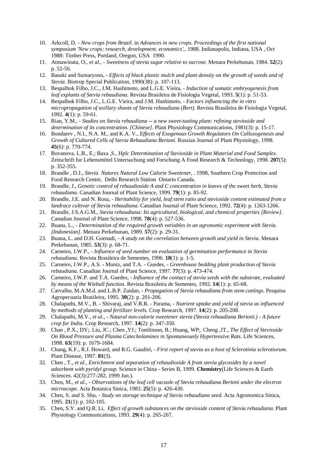- 10. Arkcoll, D.  *New crops from Brazil*. in *Advances in new crops. Proceedings of the first national symposium 'New crops: research, development. economics',*. 1988. Indianapolis, Indiana, USA , Oct 1988: Timber Press, Portland, Oregon, USA 1990.
- 11. Atmawinata, O., *et al.*,  *Sweetness of stevia sugar relative to sucrose.* Menara Perkebunan, 1984. **52**(2): p. 52-56.
- 12. Basuki and Sumaryono,  *Effects of black plastic mulch and plant density on the growth of weeds and of Stevia.* Biotrop Special Publication, 1990(38): p. 107-113.
- 13. Bespalhok Filho, J.C., J.M. Hashimoto, and L.G.E. Vieira,  *Induction of somatic embryogenesis from leaf explants of Stevia rebaudiana.* Revista Brasileira de Fisiologia Vegetal, 1993. **5**(1): p. 51-53.
- 14. Bespalhok Filho, J.C., L.G.E. Vieira, and J.M. Hashimoto,  *Factors influencing the in vitro micropropagation of axillary shoots of Stevia rebaudiana (Bert).* Revista Brasileira de Fisiologia Vegetal, 1992. **4**(1): p. 59-61.
- 15. Bian, Y.M.,  *Studies on Stevia rebaudiana -- a new sweet-tasting plant: refining stevioside and determination of its concentration. [Chinese].* Plant Physiology Communications, 1981(3): p. 15-17.
- 16. Bondarev , N.I., N.A. M., and K.A. V., *Effects of Exogenous Growth Regulators On Callusogenesis and Growth of Cultured Cells of Stevia Rebaudiana Bertoni.* Russian Journal of Plant Physiology, 1998. **45**(6): p. 770-774.
- 17. Bovanova, L.B., E.; Baxa ,S., *Hplc Determination of Stevioside in Plant Material and Food Samples.* Zeitschrift fur Lebensmittel Untersuchung und Forschung A Food Research & Technology, 1998. **207**(5): p. 352-355.
- 18. Brandle , D.J., *Stevia Natures Natural Low Calorie Sweetener*, . 1998, Southern Crop Protection and Food Research Centre, Delhi Research Station Ontario Canada.
- 19. Brandle, J., *Genetic control of rebaudioside A and C concentration in leaves of the sweet herb, Stevia rebaudiana.* Canadian Journal of Plant Science, 1999. **79**(1): p. 85-92.
- 20. Brandle, J.E. and N. Rosa,  *Heritability for yield, leaf:stem ratio and stevioside content estimated from a landrace cultivar of Stevia rebaudiana.* Canadian Journal of Plant Science, 1992. **72**(4): p. 1263-1266.
- 21. Brandle, J.S.A.G.M., *Stevia rebaudiana: Its agricultural, biological, and chemical properties [Review].* Canadian Journal of Plant Science, 1998. **78**(4): p. 527-536.
- 22. Buana, L.,  *Determination of the required growth variables in an agronomic experiment with Stevia. [Indonesian].* Menara Perkebunan, 1989. **57**(2): p. 29-31.
- 23. Buana, L. and D.H. Goenadi,  *A study on the correlation between growth and yield in Stevia.* Menara Perkebunan, 1985. **53**(3): p. 68-71.
- 24. Carneiro, J.W.P.,  *Influence of seed number on evaluation of germination performance in Stevia rebaudiana.* Revista Brasileira de Sementes, 1996. **18**(1): p. 1-5.
- 25. Carneiro, J.W.P., A.S. Muniz, and T.A. Guedes,  *Greenhouse bedding plant production of Stevia rebaudiana.* Canadian Journal of Plant Science, 1997. **77**(3): p. 473-474.
- 26. Carneiro, J.W.P. and T.A. Guedes,  *Influence of the contact of stevia seeds with the substrate, evaluated by means of the Wiebull function.* Revista Brasileira de Sementes, 1992. **14**(1): p. 65-68.
- 27. Carvalho, M.A.M.d. and L.B.P. Zaidan,  *Propagation of Stevia rebaudiana from stem cuttings.* Pesquisa Agropecuaria Brasileira, 1995. **30**(2): p. 201-206.
- 28. Chalapathi, M.V., B. Shivaraj, and V.R.R. Parama,  *Nutrient uptake and yield of stevia as influenced by methods of planting and fertilizer levels.* Crop Research, 1997. **14**(2): p. 205-208.
- 29. Chalapathi, M.V., *et al.*,  *Natural non-calorie sweetener stevia (Stevia rebaudiana Bertoni.) A future crop for India.* Crop Research, 1997. **14**(2): p. 347-350.
- 30. Chan , P.X., DY;. Liu, JC.; Chen ,YJ.; Tomlinson, B.; Huang, WP;. Cheng ,JT., *The Effect of Stevioside On Blood Pressure and Plasma Catecholamines in Spontaneously Hypertensive Rats.* Life Sciences, 1998. **63**(19): p. 1679-1684.
- 31. Chang, K.F., R.J. Howard, and R.G. Gaudiel,  *First report of stevia as a host of Sclerotinia sclerotiorum.* Plant Disease, 1997. **81**(3).
- 32. Chen , T., *et al.*, *Enrichment and separation of rebaudioside A from stevia glycosides by a novel adsorbent with pyridyl group.* Science in China - Series B, 1999. **Chemistry**(Life Sciences & Earth Sciences. 42(3):277-282, 1999 Jun.).
- 33. Chen, M., *et al.*,  *Observations of the leaf cell vacuole of Stevia rebaudiana Bertoni under the electron microscope.* Acta Botanica Sinica, 1983. **25**(5): p. 426-430.
- 34. Chen, S. and S. Shu,  *Study on storage technique of Stevia rebaudiana seed.* Acta Agronomica Sinica, 1995. **21**(1): p. 102-105.
- 35. Chen, S.Y. and Q.R. Li, *Effect of growth substances on the stevioside content of Stevia rebaudiana.* Plant Physiology Communications, 1993. **29**(4): p. 265-267.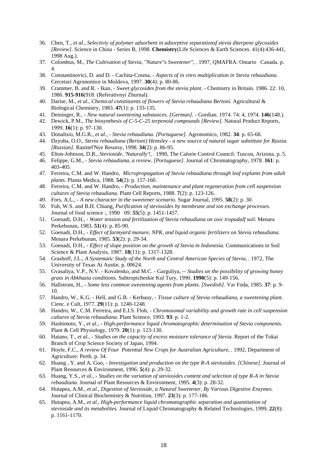- 36. Chen, T., *et al.*, *Selectiviy of polymer adsorbent in adsorptive separationsf stevia diterpene glycosides [Review].* Science in China - Series B, 1998. **Chemistry**(Life Sciences & Earth Sciences. 41(4):436-441, 1998 Aug.).
- 37. Colombus, M., *The Cultivation of Stevia, "Nature"s Sweetener"*, . 1997, QMAFRA: Ontario Canada. p. 4.
- 38. Constantinovici, D. and D. Cachita-Cosma,  *Aspects of in vitro multiplication in Stevia rebaudiana.* Cercetari Agronomice in Moldova, 1997. **30**(4): p. 80-86.
- 39. Crammer, B. and R. Ikan,  *Sweet glycosides from the stevia plant.* Chemistry in Britain. 1986. 22: 10, 1986. **915-916**(918. (Referativnyi Zhurnal).
- 40. Darise, M., *et al.*, *Chemical constituents of flowers of Stevia rebaudiana Bertoni.* Agricultural & Biological Chemistry, 1983. **47**(1): p. 133-135.
- 41. Deininger, R.,  *New natural sweetening substances. [German].* Gordian. 1974. 74: 4, 1974. **146**(148.).
- 42. Dewick, P.M., *The biosynthesis of C-5-C-25 terpenoid compounds [Review].* Natural Product Reports, 1999. **16**(1): p. 97-130.
- 43. Donalisio, M.G.R., *et al.*,  *Stevia rebaudiana. [Portuguese].* Agronomico, 1982. **34**: p. 65-68.
- 44. Dzyuba, O.O., *Stevia rebaudiana (Bertoni) Hemsley a new source of natural sugar substitute for Russia. [Russian].* Rastitel'Nye Resursy, 1998. **34**(2): p. 86-95.
- 45. Elton-Johnson, D.R., *Stevioside, 'Naturally'!*, . 1990, The Calorie Control Council: Tuscon, Arizona. p. 5.
- 46. Felippe, G.M.,  *Stevia rebaudiana, a review. [Portuguese].* Journal of Chromatography, 1978. **161**: p. 403-405.
- 47. Ferreira, C.M. and W. Handro, *Micropropagation of Stevia rebaudiana through leaf explants from adult plants.* Planta Medica, 1988. **54**(2): p. 157-160.
- 48. Ferreira, C.M. and W. Handro,  *Production, maintenance and plant regeneration from cell suspension cultures of Stevia rebaudiana.* Plant Cell Reports, 1988. **7**(2): p. 123-126.
- 49. Fors, A.L.,  *A new character in the sweetener scenario.* Sugar Journal, 1995. **58**(2): p. 30.
- 50. Fuh, W.S. and B.H. Chiang, *Purification of steviosides by membrane and ion exchange processes.* Journal of food science :, 1990 09. **55**(5): p. 1451-1457.
- 51. Goenadi, D.H.,  *Water tension and fertilization of Stevia rebaudiana on oxic tropudalf soil.* Menara Perkebunan, 1983. **51**(4): p. 85-90.
- 52. Goenadi, D.H.,  *Effect of farmyard manure, NPK, and liquid organic fertilizers on Stevia rebaudiana.* Menara Perkebunan, 1985. **53**(2): p. 29-34.
- 53. Goenadi, D.H.,  *Effect of slope position on the growth of Stevia in Indonesia.* Communications in Soil Science & Plant Analysis, 1987. **18**(11): p. 1317-1328.
- 54. Grashoff, J.L., *A Systematic Study of the North and Central American Species of Stevia*, . 1972, The University of Texas At Austin. p. 00624.
- 55. Gvasaliya, V.P., N.V. Kovalenko, and M.C. Garguliya, *-- Studies on the possibility of growing honey grass in Abkhazia conditions.* Subtropicheskie Kul Tury, 1990. **1990**(5): p. 149-156.
- 56. Hallstrom, H.,  *Some less common sweetening agents from plants. [Swedish].* Var Foda, 1985. **37**: p. 9- 10.
- 57. Handro, W., K.G. Hell, and G.B. Kerbauy,  *Tissue culture of Stevia rebaudiana, a sweetening plant.* Cienc. e Cult, 1977. **29**(11): p. 1240-1248.
- 58. Handro, W., C.M. Ferreira, and E.I.S. Floh,  *Chromosomal variability and growth rate in cell suspension cultures of Stevia rebaudiana.* Plant Science, 1993. **93**: p. 1-2.
- 59. Hashimoto, Y., *et al.*,  *High-performance liquid chromatographic determination of Stevia components.* Plant & Cell Physiology, 1979. **20**(1): p. 123-130.
- 60. Hatano, T., *et al.*,  *Studies on the capacity of excess moisture tolerance of Stevia.* Report of the Tokai Branch of Crop Science Society of Japan, 1994.
- 61. Hoyle, F.C., *A review Of Four Potential New Crops for Australian Agriculture*, . 1992, Department of Agriculture: Perth. p. 34.
- 62. Huang , Y. and A. Guo,  *Investigation and production on the type R-A steviosides. [Chinese].* Journal of Plant Resources & Environment, 1996. **5**(4): p. 29-32.
- 63. Huang, Y.S., *et al.*,  *Studies on the variation of steviosides content and selection of type R-A in Stevia rebaudiana.* Journal of Plant Resources & Environment, 1995. **4**(3): p. 28-32.
- 64. Hutapea, A.M., *et al.*, *Digestion of Stevioside, a Natural Sweetener, By Various Digestive Enzymes.* Journal of Clinical Biochemistry & Nutrition, 1997. **23**(3): p. 177-186.
- 65. Hutapea, A.M., *et al.*, *High-performance liquid chromatographic separation and quantitation of stevioside and its metabolites.* Journal of Liquid Chromatography & Related Technologies, 1999. **22**(8): p. 1161-1170.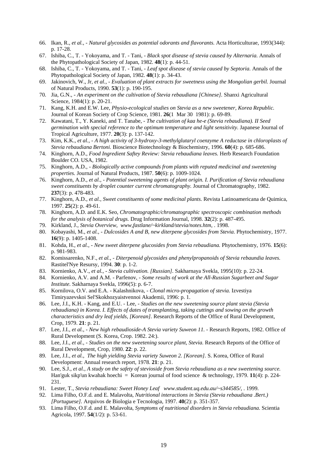- 66. Ikan, R., *et al.*,  *Natural glycosides as potential odorants and flavorants.* Acta Horticulturae, 1993(344): p. 17-28.
- 67. Ishiba, C., T. Yokoyama, and T. Tani,  *Black spot disease of stevia caused by Alternaria.* Annals of the Phytopathological Society of Japan, 1982. **48**(1): p. 44-51.
- 68. Ishiba, C., T. Yokoyama, and T. Tani,  *Leaf spot disease of stevia caused by Septoria.* Annals of the Phytopathological Society of Japan, 1982. **48**(1): p. 34-43.
- 69. Jakinovich, W., Jr, *et al.*,  *Evaluation of plant extracts for sweetness using the Mongolian gerbil.* Journal of Natural Products, 1990. **53**(1): p. 190-195.
- 70. Jia, G.N.,  *An experiment on the cultivation of Stevia rebaudiana [Chinese].* Shanxi Agricultural Science, 1984(1): p. 20-21.
- 71. Kang, K.H. and E.W. Lee, *Physio-ecological studies on Stevia as a new sweetener, Korea Republic.* Journal of Korean Society of Crop Science, 1981. **26**(1 Mar 30 1981): p. 69-89.
- 72. Kawatani, T., Y. Kaneki, and T. Tanabe,  *The cultivation of kaa he-e (Stevia rebaudiana). II Seed germination with special reference to the optimum temperature and light sensitivity.* Japanese Journal of Tropical Agriculture, 1977. **20**(3): p. 137-142.
- 73. Kim, K.K., *et al.*,  *A high activity of 3-hydroxy-3-methylglutaryl coenzyme A reductase in chloroplasts of Stevia rebaudiana Bertoni.* Bioscience Biotechnology & Biochemistry, 1996. **60**(4): p. 685-686.
- 74. Kinghorn, A.D., *Food Ingredient Saftey Review: Stevia rebaudiana leaves.* Herb Research Foundation Boulder CO. USA, 1982.
- 75. Kinghorn, A.D.,  *Biologically active compounds from plants with reputed medicinal and sweetening properties.* Journal of Natural Products, 1987. **50**(6): p. 1009-1024.
- 76. Kinghorn, A.D., *et al.*,  *Potential sweetening agents of plant origin. I. Purification of Stevia rebaudiana sweet constituents by droplet counter current chromatography.* Journal of Chromatography, 1982. **237**(3): p. 478-483.
- 77. Kinghorn, A.D., *et al.*, *Sweet constituents of some medicinal plants.* Revista Latinoamericana de Quimica, 1997. **25**(2): p. 49-61.
- 78. Kinghorn, A.D. and E.K. Seo, *Chromatographic/chromatographic spectroscopic combination methods for the analysis of botanical drugs.* Drug Information Journal, 1998. **32**(2): p. 487-495.
- 79. Kirkland, J., *Stevia Overview, www,fastlane/~kirkland/stevia/notes.htm*, . 1998.
- 80. Kobayashi, M., *et al.*,  *Dulcosides A and B, new diterpene glycosides from Stevia.* Phytochemistry, 1977. **16**(9): p. 1405-1408.
- 81. Kohda, H., *et al.*,  *New sweet diterpene glucosides from Stevia rebaudiana.* Phytochemistry, 1976. **15**(6): p. 981-983.
- 82. Komissarenko, N.F., *et al.*,  *Diterpenoid glycosides and phenylpropanoids of Stevia rebaundia leaves.* Rastitel'Nye Resursy, 1994. **30**: p. 1-2.
- 83. Kornienko, A.V., *et al.*,  *Stevia cultivation. [Russian].* Sakharnaya Svekla, 1995(10): p. 22-24.
- 84. Kornienko, A.V. and A.M. Parfenov,  *Some results of work at the All-Russian Sugarbeet and Sugar Institute.* Sakharnaya Svekla, 1996(5): p. 6-7.
- 85. Kornilova, O.V. and E.A. Kalashnikova,  *Clonal micro-propagation of stevia.* Izvestiya Timiryazevskoi Sel'Skokhozyaistvennoi Akademii, 1996: p. 1.
- 86. Lee, J.I., K.H. Kang, and E.U. Lee,  *Studies on the new sweetening source plant stevia (Stevia rebaudiana) in Korea. I. Effects of dates of transplanting, taking cuttings and sowing on the growth characteristics and dry leaf yields, [Korean].* Research Reports of the Office of Rural Development, Crop, 1979. **21**: p. 21.
- 87. Lee, J.I., *et al.*,  *New high rebaudioside-A Stevia variety Suweon 11.* Research Reports, 1982. Office of Rural Development (S. Korea, Crop. 1982. 24:).
- 88. Lee, J.I., *et al.*,  *Studies on the new sweetening source plant, Stevia.* Research Reports of the Office of Rural Development, Crop, 1980. **22**: p. 22.
- 89. Lee, J.I., *et al.*, *The high yielding Stevia variety Suweon 2. [Korean].* S. Korea, Office of Rural Development: Annual research report, 1978. **21**: p. 21.
- 90. Lee, S.J., *et al.*, *A study on the safety of stevioside from Stevia rebaudiana as a new sweetening source.* Han'guk sikp'un kwahak hoechi = Korean journal of food science & technology, 1979. **11**(4): p. 224- 231.
- 91. Lester, T., *Stevia rebaudiana: Sweet Honey Leaf www.student.uq.edu.au/~s344585/*, . 1999.
- 92. Lima Filho, O.F.d. and E. Malavolta, *Nutritional interactions in Stevia (Stevia rebaudiana .Bert.) [Portuguese].* Arquivos de Biologia e Tecnologia, 1997. **40**(2): p. 351-357.
- 93. Lima Filho, O.F.d. and E. Malavolta, *Symptoms of nutritional disorders in Stevia rebaudiana.* Scientia Agricola, 1997. **54**(1/2): p. 53-61.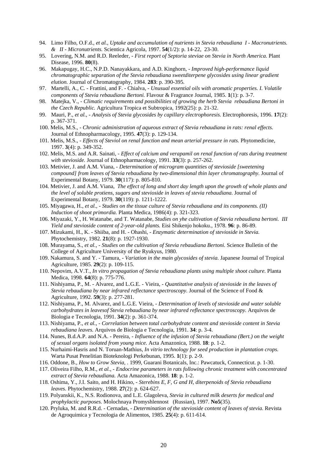- 94. Limo Filho, O.F.d., *et al.*, *Uptake and accumulation of nutrients in Stevia rebaudiana I Macronutrients. & II - Micronutrients.* Scientica Agricola, 1997. **54**(1/2): p. 14-22, 23-30.
- 95. Lovering, N.M. and R.D. Reeleder,  *First report of Septoria steviae on Stevia in North America.* Plant Disease, 1996. **80**(8).
- 96. Makapugay, H.C., N.P.D. Nanayakkara, and A.D. Kinghorn,  *Improved high-performance liquid chromatographic separation of the Stevia rebaudiana sweetditerpene glycosides using linear gradient elution.* Journal of Chromatography, 1984. **283**: p. 390-395.
- 97. Martelli, A., C. Frattini, and F. Chialva,  *Unusual essential oils with aromatic properties. I. Volatile components of Stevia rebaudiana Bertoni.* Flavour & Fragrance Journal, 1985. **1**(1): p. 3-7.
- 98. Matejka, V.,  *Climatic requirements and possibilities of growing the herb Stevia rebaudiana Bertoni in the Czech Republic.* Agricultura Tropica et Subtropica, 1992(25): p. 21-32.
- 99. Mauri, P., *et al.*,  *Analysis of Stevia glycosides by capillary electrophoresis.* Electrophoresis, 1996. **17**(2): p. 367-371.
- 100. Melis, M.S.,  *Chronic administration of aqueous extract of Stevia rebaudiana in rats: renal effects.* Journal of Ethnopharmacology, 1995. **47**(3): p. 129-134.
- 101. Melis, M.S.,  *Effects of Steviol on renal function and mean arterial pressure in rats.* Phytomedicine, 1997. **3**(4): p. 349-352.
- 102. Melis, M.S. and A.R. Sainati,  *Effect of calcium and verapamil on renal function of rats during treatment with stevioside.* Journal of Ethnopharmacology, 1991. **33**(3): p. 257-262.
- 103. Metivier, J. and A.M. Viana,  *Determination of microgram quantities of stevioside [sweetening compound] from leaves of Stevia rebaudiana by two-dimensional thin layer chromatography.* Journal of Experimental Botany, 1979. **30**(117): p. 805-810.
- 104. Metivier, J. and A.M. Viana, *The effect of long and short day length upon the growth of whole plants and the level of soluble protiens, sugars and stevioside in leaves of stevia rebaudiana.* Journal of Experimental Botany, 1979. **30**(119): p. 1211-1222.
- 105. Miyagawa, H., *et al.*,  *Studies on the tissue culture of Stevia rebaudiana and its components. (II) Induction of shoot primordia.* Planta Medica, 1986(4): p. 321-323.
- 106. Miyazaki, Y., H. Watanabe, and T. Watanabe, *Studies on yhe cultivation of Stevia rebaudiana bertoni. III Yield and stevioside content of 2-year-old plants.* Eisi Shikenjo hokoku., 1978. **96**: p. 86-89.
- 107. Mizukami, H., K. Shiiba, and H. Ohashi,  *Enzymatic determination of stevioside in Stevia.* Phytochemistry, 1982. **21**(8): p. 1927-1930.
- 108. Murayama, S., *et al.*,  *Studies on the cultivation of Stevia rebaudiana Bertoni.* Science Bulletin of the College of Agriculture University of the Ryukyus, 1980.
- 109. Nakamura, S. and Y. Tamura,  *Variation in the main glycosides of stevia.* Japanese Journal of Tropical Agriculture, 1985. **29**(2): p. 109-115.
- 110. Nepovim, A.V.T., *In vitro propagation of Stevia rebaudiana plants using multiple shoot culture.* Planta Medica, 1998. **64**(8): p. 775-776.
- 111. Nishiyama, P., M. Alvarez, and L.G.E. Vieira,  *Quantitative analysis of stevioside in the leaves of Stevia rebaudiana by near infrared reflectance spectroscopy.* Journal of the Science of Food & Agriculture, 1992. **59**(3): p. 277-281.
- 112. Nishiyama, P., M. Alvarez, and L.G.E. Vieira,  *Determination of levels of stevioside and water soluble carbohydrates in leavesof Stevia rebaudiana by near infrared reflectance spectroscopy.* Arquivos de Biologia e Tecnologia, 1991. **34**(2): p. 361-374.
- 113. Nishiyama, P., *et al.*,  *Correlation between total carbohydrate content and stevioside content in Stevia rebaudiana leaves.* Arquivos de Biologia e Tecnologia, 1991. **34**: p. 3-4.
- 114. Nunes, B.d.A.P. and N.A. Pereira,  *Influence of the infusion of Stevia rebaudiana (Bert.) on the weight of sexual organs isolated from young mice.* Acta Amazonica, 1988. **18**: p. 1-2.
- 115. Nurhaimi-Hasris and N. Toruan-Mathius, *In vitrio technology for seed production in plantation crops.* Warta Pusat Penelitian Bioteknologi Perkebunan, 1995. **1**(1): p. 2-9.
- 116. Oddone, B., *How to Grow Stevia*, . 1999, Guarani Botanicals, Inc.: Pawcatuck, Connecticut. p. 1-30.
- 117. Oliveira Filho, R.M., *et al.*,  *Endocrine parameters in rats following chronic treatment with concentrated extract of Stevia rebaudiana.* Acta Amazonica, 1988. **18**: p. 1-2.
- 118. Oshima, Y., J.I. Saito, and H. Hikino,  *Sterebins E, F, G and H, diterpenoids of Stevia rebaudiana leaves.* Phytochemistry, 1988. **27**(2): p. 624-627.
- 119. Polyanskii, K., N.S. Rodionova, and L.E. Glagoleva, *Stevia in cultured milk deserts for medical and prophylactic purposes.* Molochnaya Promyshlennost (Russian), 1997. **No5**(35).
- 120. Pryluka, M. and R.R.d. Cernadas,  *Determination of the stevioside content of leaves of stevia.* Revista de Agroquimica y Tecnologia de Alimentos, 1985. **25**(4): p. 611-614.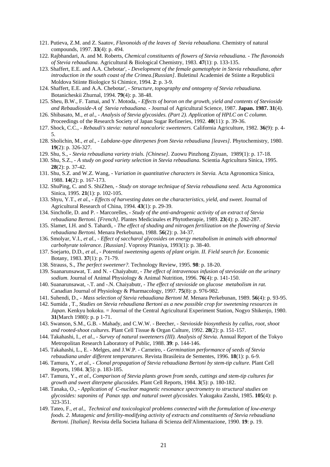- 121. Putieva, Z.M. and Z. Saatov, *Flavonoids of the leaves of Stevia rebaudiana.* Chemistry of natural compounds, 1997. **33**(4): p. 494.
- 122. Rajbhandari, A. and M. Roberts, *Chemical constituents of flowers of Stevia rebaudiana. The flavonoids of Stevia rebaudiana.* Agricultural & Biological Chemistry, 1983. **47**(1): p. 133-135.
- 123. Shaffert, E.E. and A.A. Chebotar',  *Development of the female gametophyte in Stevia rebaudiana, after introduction in the south coast of the Crimea.[Russian].* Buletinul Academiei de Stiinte a Republicii Moldova Stiinte Biologice Si Chimice, 1994. **2**: p. 3-9.
- 124. Shaffert, E.E. and A.A. Chebotar',  *Structure, topography and ontogeny of Stevia rebaudiana.* Botanicheskii Zhurnal, 1994. **79**(4): p. 38-48.
- 125. Sheu, B.W., F. Tamai, and Y. Motoda,  *Effects of boron on the growth, yield and contents of Stevioside and Rebaudioside-A of Stevia rebaudiana.* - Journal of Agricultural Science, 1987. **Japan. 1987. 31**(4).
- 126. Shibasato, M., *et al.*,  *Analysis of Stevia glycosides. (Part 2). Application of HPLC on C column.* Proceedings of the Research Society of Japan Sugar Refineries, 1992. **40**(11): p. 39-36.
- 127. Shock, C.C.,  *Rebaudi's stevia: natural noncaloric sweeteners.* California Agriculture, 1982. **36**(9): p. 4- 5.
- 128. Sholichin, M., *et al.*,  *Labdane-type diterpenes from Stevia rebaudiana [leaves].* Phytochemistry, 1980. **19**(2): p. 326-327.
- 129. Shu, S.,  *Stevia rebaudiana variety trials. [Chinese].* Zuowu Pinzhong Ziyuan, 1989(1): p. 17-18.
- 130. Shu, S.Z.,  *A study on good variety selection in Stevia rebaudiana.* Scientia Agricultura Sinica, 1995. **28**(2): p. 37-42.
- 131. Shu, S.Z. and W.Z. Wang,  *Variation in quantitative characters in Stevia.* Acta Agronomica Sinica, 1988. **14**(2): p. 167-173.
- 132. ShuPing, C. and S. ShiZhen,  *Study on storage technique of Stevia rebaudiana seed.* Acta Agronomica Sinica, 1995. **21**(1): p. 102-105.
- 133. Shyu, Y.T., *et al.*,  *Effects of harvesting dates on the characteristics, yield, and sweet.* Journal of Agricultural Research of China, 1994. **43**(1): p. 29-39.
- 134. Sincholle, D. and P. Marcorelles,  *Study of the anti-androgenic activity of an extract of Stevia rebaudiana Bertoni. [French].* Plantes Medicinales et Phytotherapie, 1989. **23**(4): p. 282-287.
- 135. Slamet, I.H. and S. Tahardi,  *The effect of shading and nitrogen fertilization on the flowering of Stevia rebaudiana Bertoni.* Menara Perkebunan, 1988. **56**(2): p. 34-37.
- 136. Smolyar, V.I., *et al.*,  *Effect of saccharol glycosides on energy metabolism in animals with abnormal carbohyrate tolerance. [Russian].* Voprosy Pitaniya, 1993(1): p. 38-40.
- 137. Soejarto, D.D., *et al.*,  *Potential sweetening agents of plant origin. II. Field search for.* Economic Botany, 1983. **37**(1): p. 71-79.
- 138. Strauss, S., *The perfect sweetener?.* Technology Review, 1995. **98**: p. 18-20.
- 139. Suanarunsawat, T. and N. Chaiyabutr,  *The effect of intravenous infusion of stevioside on the urinary sodium.* Journal of Animal Physiology & Animal Nutrition, 1996. **76**(4): p. 141-150.
- 140. Suanarunsawat, -.T. and -.N. Chaiyabutr,  *The effect of stevioside on glucose metabolism in rat.* Canadian Journal of Physiology & Pharmacology, 1997. **75**(8): p. 976-982.
- 141. Suhendi, D.,  *Mass selection of Stevia rebaudiana Bertoni M.* Menara Perkebunan, 1989. **56**(4): p. 93-95.
- 142. Sumida , T., *Studies on Stevia rebaudiana Bertoni as a new possible crop for sweetening resources in Japan.* Kenkyu hokoku. = Journal of the Central Agricultural Experiment Station, Nogyo Shikenjo, 1980. **31**(March 1980): p. p 1-71.
- 143. Swanson, S.M., G.B. Mahady, and C.W.W. Beecher,  *Stevioside biosynthesis by callus, root, shoot and rooted-shoot cultures.* Plant Cell Tissue & Organ Culture, 1992. **28**(2): p. 151-157.
- 144. Takahashi, I., *et al.*,  *Survey of natural sweeteners (III). Analysis of Stevia.* Annual Report of the Tokyo Metropolitan Research Laboratory of Public, 1988. **39**: p. 144-146.
- 145. Takahashi, L., E. Melges, and J.W.P. Carneiro,  *Germination performance of seeds of Stevia rebaudiana under different temperatures.* Revista Brasileira de Sementes, 1996. **18**(1): p. 6-9.
- 146. Tamura, Y., *et al.*,  *Clonal propagation of Stevia rebaudiana Bertoni by stem-tip culture.* Plant Cell Reports, 1984. **3**(5): p. 183-185.
- 147. Tamura, Y., *et al.*, *Comparison of Stevia plants grown from seeds, cuttings and stem-tip cultures for growth and sweet diterpene glucosides.* Plant Cell Reports, 1984. **3**(5): p. 180-182.
- 148. Tanaka, O.,  *Application of C-nuclear magnetic resonance spectrometry to structural studies on glycosides: saponins of Panax spp. and natural sweet glycosides.* Yakugaku Zasshi, 1985. **105**(4): p. 323-351.
- 149. Tateo, F., *et al.*, *Technical and toxicological problems connected with the formulation of low-energy foods. 2. Mutagenic and fertility-modifying activity of extracts and constituents of Stevia rebaudiana Bertoni. [Italian].* Revista della Societa Italiana di Scienza dell'Alimentazione, 1990. **19**: p. 19.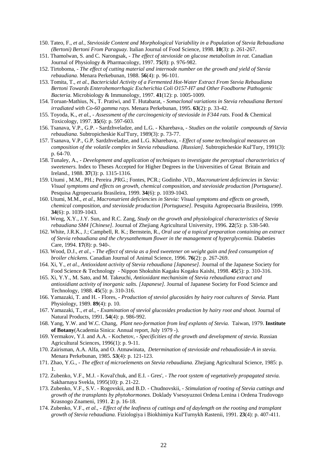- 150. Tateo, F., *et al.*, *Stevioside Content and Morphological Variability in a Population of Stevia Rebaudiana (Bertoni) Bertoni From Paraguay.* Italian Journal of Food Science, 1998. **10**(3): p. 261-267.
- 151. Thamolwan, S. and C. Narongsak,  *The effect of stevioside on glucose metabolism in rat.* Canadian Journal of Physiology & Pharmacology, 1997. **75**(8): p. 976-982.
- 152. Tirtoboma,  *The effect of cutting material and internode number on the growth and yield of Stevia rebaudiana.* Menara Perkebunan, 1988. **56**(4): p. 96-101.
- 153. Tomita, T., *et al.*, *Bactericidal Activity of a Fermented Hot-Water Extract From Stevia Rebaudiana Bertoni Towards Enterohemorrhagic Escherichia Coli O157-H7 and Other Foodborne Pathogenic Bacteria.* Microbiology & Immunology, 1997. **41**(12): p. 1005-1009.
- 154. Toruan-Mathius, N., T. Pratiwi, and T. Hutabarat,  *Somaclonal variations in Stevia rebaudiana Bertoni irradiated with Co-60 gamma rays.* Menara Perkebunan, 1995. **63**(2): p. 33-42.
- 155. Toyoda, K., *et al.*,  *Assessment of the carcinogenicity of stevioside in F344 rats.* Food & Chemical Toxicology, 1997. **35**(6): p. 597-603.
- 156. Tsanava, V.P., G.P. Sardzhveladze, and L.G. Kharebava,  *Studies on the volatile compounds of Stevia rebaudiana.* Subtropicheskie Kul'Tury, 1989(3): p. 73-77.
- 157. Tsanava, V.P., G.P. Sardzhveladze, and L.G. Kharebava,  *Effect of some technological measures on composition of the volatile complex in Stevia rebaudiana. [Russian].* Subtropicheskie Kul'Tury, 1991(3): p. 64-70.
- 158. Tunaley, A.,  *Development and application of techniques to investigate the perceptual characteristics of sweeteners.* Index to Theses Accepted for Higher Degrees in the Universities of Great Britain and Ireland., 1988. **37**(3): p. 1315-1316.
- 159. Utumi , M.M., PH.; Pereira ,PRG.; Fontes, PCR.; Godinho ,VD., *Macronutrient deficiencies in Stevia: Visual symptoms and effects on growth, chemical composition, and stevioside production [Portuguese].* Pesquisa Agropecuaria Brasileira, 1999. **34**(6): p. 1039-1043.
- 160. Utumi, M.M., *et al.*, *Macronutrient deficiencies in Stevia: Visual symptoms and effects on growth, chemical composition, and stevioside production [Portuguese].* Pesquita Agropecuaria Brasileira, 1999. **34**(6): p. 1039-1043.
- 161. Weng, X.Y., J.Y. Sun, and R.C. Zang, *Study on the growth and physiological characteristics of Stevia rebaudiana SM4 [Chinese].* Journal of Zhejiang Agricultural University, 1996. **22**(5): p. 538-540.
- 162. White, J.R.K., J.; Campbell, R. K.; Bernstein, R., *Oral use of a topical preparation containing an extract of Stevia rebaudiana and the chrysanthemum flower in the management of hyperglycemia.* Diabeties Care, 1994. **17**(8): p. 940-.
- 163. Wood, D.J., *et al.*,  *The effect of stevia as a feed sweetener on weight gain and feed consumption of broiler chickens.* Canadian Journal of Animal Science, 1996. **76**(2): p. 267-269.
- 164. Xi, Y., *et al.*, *Antioxidant activity of Stevia rebaudiana [Japanese].* Journal of the Japanese Society for Food Science & Technology - Nippon Shokuhin Kagaku Kogaku Kaishi, 1998. **45**(5): p. 310-316.
- 165. Xi, Y.Y., M. Sato, and M. Takeuchi, *Antioxidant mechanisim of Stevia rebaudiana extract and antioxidiant activity of inorganic salts. [Japanese].* Journal of Japanese Society for Food Science and Technology, 1988. **45**(5): p. 310-316.
- 166. Yamazaki, T. and H. Flores,  *Production of steviol glucosides by hairy root cultures of Stevia.* Plant Physiology, 1989. **89**(4): p. 10.
- 167. Yamazaki, T., *et al.*,  *Examination of steviol glucosides production by hairy root and shoot.* Journal of Natural Products, 1991. **54**(4): p. 986-992.
- 168. Yang, Y.W. and W.C. Chang, *Plant neo-formation from leaf explants of Stevia.* Taiwan, 1979. **Institute of Botany**(Academia Sinica: Annual report, July 1979 -).
- 169. Yermakov, Y.I. and A.A. Kochetov,  *Specificities of the growth and development of stevia.* Russian Agricultural Sciences, 1996(1): p. 9-11.
- 170. Zairisman, A.A. Alfa, and O. Atmawinata, *Determination of stevioside and rebaudioside-A in stevia.* Menara Perkebunan, 1985. **53**(4): p. 121-123.
- 171. Zhao, Y.G.,  *The effect of microelements on Stevia rebaudiana.* Zhejiang Agricultural Science, 1985: p. 1.
- 172. Zubenko, V.F., M.J. Koval'chuk, and E.I. Gres',  *The root system of vegetatively propagated stevia.* Sakharnaya Svekla, 1995(10): p. 21-22.
- 173. Zubenko, V.F., S.V. Rogovskii, and B.D. Chudnovskii,  *Stimulation of rooting of Stevia cuttings and growth of the transplants by phytohormones.* Doklady Vsesoyuznoi Ordena Lenina i Ordena Trudovogo Krasnogo Znameni, 1991. **2**: p. 16-18.
- 174. Zubenko, V.F., *et al.*,  *Effect of the leafiness of cuttings and of daylength on the rooting and transplant growth of Stevia rebaudiana.* Fiziologiya i Biokhimiya Kul'Turnykh Rastenii, 1991. **23**(4): p. 407-411.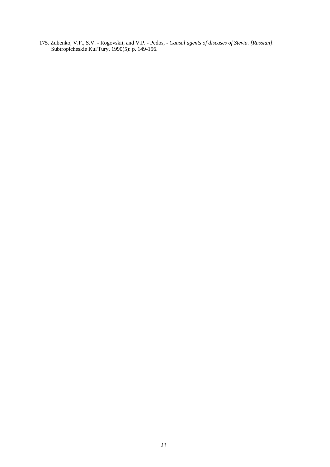175. Zubenko, V.F., S.V. - Rogovskii, and V.P. - Pedos, *- Causal agents of diseases of Stevia. [Russian].* Subtropicheskie Kul'Tury, 1990(5): p. 149-156.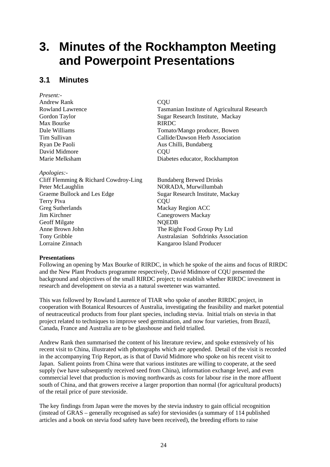# <span id="page-28-0"></span>**3. Minutes of the Rockhampton Meeting and Powerpoint Presentations**

### <span id="page-28-1"></span>**3.1 Minutes**

#### *Present:-*

Andrew Rank CQU Max Bourke RIRDC David Midmore COU

### *Apologies:-*

Cliff Flemming & Richard Cowdroy-Ling Bundaberg Brewed Drinks Peter McLaughlin NORADA, Murwillumbah Graeme Bullock and Les Edge Sugar Research Institute, Mackay Terry Piva COU Greg Sutherlands Mackay Region ACC Jim Kirchner Canegrowers Mackay Geoff Milgate NOEDB Anne Brown John The Right Food Group Pty Ltd Tony Gribble **Australasian** Softdrinks Association Lorraine Zinnach Kangaroo Island Producer

Rowland Lawrence Tasmanian Institute of Agricultural Research Gordon Taylor Sugar Research Institute, Mackay Dale Williams Tomato/Mango producer, Bowen Tim Sullivan Callide/Dawson Herb Association Ryan De Paoli **Aus Chilli**, Bundaberg Marie Melksham Diabetes educator, Rockhampton

### **Presentations**

Following an opening by Max Bourke of RIRDC, in which he spoke of the aims and focus of RIRDC and the New Plant Products programme respectively, David Midmore of CQU presented the background and objectives of the small RIRDC project; to establish whether RIRDC investment in research and development on stevia as a natural sweetener was warranted.

This was followed by Rowland Laurence of TIAR who spoke of another RIRDC project, in cooperation with Botanical Resources of Australia, investigating the feasibility and market potential of neutraceutical products from four plant species, including stevia. Initial trials on stevia in that project related to techniques to improve seed germination, and now four varieties, from Brazil, Canada, France and Australia are to be glasshouse and field trialled.

Andrew Rank then summarised the content of his literature review, and spoke extensively of his recent visit to China, illustrated with photographs which are appended. Detail of the visit is recorded in the accompanying Trip Report, as is that of David Midmore who spoke on his recent visit to Japan. Salient points from China were that various institutes are willing to cooperate, at the seed supply (we have subsequently received seed from China), information exchange level, and even commercial level that production is moving northwards as costs for labour rise in the more affluent south of China, and that growers receive a larger proportion than normal (for agricultural products) of the retail price of pure stevioside.

The key findings from Japan were the moves by the stevia industry to gain official recognition (instead of GRAS – generally recognised as safe) for steviosides (a summary of 114 published articles and a book on stevia food safety have been received), the breeding efforts to raise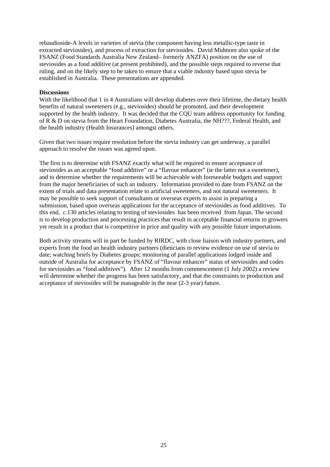rebaudioside-A levels in varieties of stevia (the component having less metallic-type taste in extracted steviosides), and process of extraction for steviosides. David Midmore also spoke of the FSANZ (Food Standards Australia New Zealand– formerly ANZFA) position on the use of steviosides as a food additive (at present prohibited), and the possible steps required to reverse that ruling, and on the likely step to be taken to ensure that a viable industry based upon stevia be established in Australia. These presentations are appended.

#### **Discussions**

With the likelihood that 1 in 4 Australians will develop diabetes over their lifetime, the dietary health benefits of natural sweeteners (e.g., steviosides) should be promoted, and their development supported by the health industry. It was decided that the CQU team address opportunity for funding of R & D on stevia from the Heart Foundation, Diabetes Australia, the NH???, Federal Health, and the health industry (Health Insurances) amongst others.

Given that two issues require resolution before the stevia industry can get underway, a parallel approach to resolve the issues was agreed upon.

The first is to determine with FSANZ exactly what will be required to ensure acceptance of steviosides as an acceptable "food additive" or a "flavour enhancer" (ie the latter not a sweetener), and to determine whether the requirements will be achievable with foreseeable budgets and support from the major beneficiaries of such an industry. Information provided to date from FSANZ on the extent of trials and data presentation relate to artificial sweeteners, and not natural sweeteners. It may be possible to seek support of consultants or overseas experts to assist in preparing a submission, based upon overseas applications for the acceptance of steviosides as food additives. To this end, *c*.130 articles relating to testing of steviosides has been received from Japan. The second is to develop production and processing practices that result in acceptable financial returns to growers yet result in a product that is competitive in price and quality with any possible future importations.

Both activity streams will in part be funded by RIRDC, with close liaison with industry partners, and experts from the food an health industry partners (dieticians to review evidence on use of stevia to date; watching briefs by Diabetes groups; monitoring of parallel applications lodged inside and outside of Australia for acceptance by FSANZ of "flavour enhancer" status of steviosides and codes for steviosides as "food additives"). After 12 months from commencement (1 July 2002) a review will determine whether the progress has been satisfactory, and that the constraints to production and acceptance of steviosides will be manageable in the near (2-3 year) future.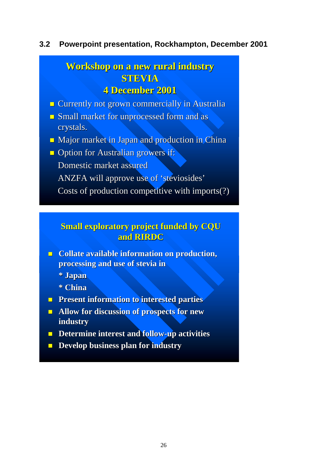### <span id="page-30-0"></span>**3.2 Powerpoint presentation, Rockhampton, December 2001**

## **Workshop on a new rural industry STEVIA 4 December 2001 4 December 2001**

- **E** Currently not grown commercially in Australia
- $\Box$  Small market for unprocessed form and as crystals.
- $\blacksquare$  Major market in Japan and production in China
- **D** Option for Australian growers if: Domestic market assured ANZFA will approve use of 'steviosides' Costs of production competitive with imports $(?)$

### **Small exploratory project funded by CQU and RIRDC and RIRDC**

- $\blacksquare$  Collate available information on production, **processing and use of stevia in processing and use of stevia in**
	- **\* Japan \* Japan**
	- **\* China \* China**
- **Present information to interested parties**
- **EXECUTE:** Allow for discussion of prospects for new **industry industry**
- $\blacksquare$  **Determine interest and follow-up activities**
- **<u><b>D** Develop business plan for industry</u>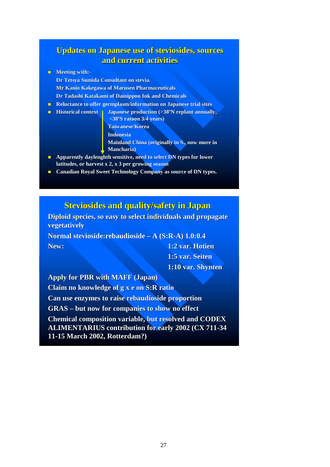### **Updates on Japanese use of Updates on Japanese use of steviosides, sources sources and current activities and current activities**

 $\blacksquare$  **Meeting with:** 

**Dr Tetsya Sumida Consultant on stevia. Mr Kanio Kakegawa of Marusen Pharmaceuticals Dr Tadashi Katakami of Dainippon Ink and Chemicals Dr Tadashi Katakami of Dainippon Ink and Chemicals**

- **E** Reluctance to offer germplasm/information on Japanese trial sites
- **Historical context | Japanese production (>38°N replant annually,**

**<38ºS ratoon 3/4 years) S ratoon 3/4 years) Taiwanese/Korea Indonesia Indonesia Mainland China (originally in S., now more in Mancharia) Mancharia)**

- **Apparently daylenghth sensitive, need to select DN types for lower** latitudes, or harvest x 2, x 3 per growing season
- **Canadian Royal Sweet Technology Company as source of DN types.**

### **Steviosides and quality/safety in Japan Steviosides and quality/safety in Japan**

**Diploid species, so easy to select individuals and propagate vegetatively vegetatively Normal stevioside:rebaudioside – A (S:R-A) 1.0:0.4** 

**New: 1:2 var. Hotien 1:2 var. Hotien 1:5 var. Seiten 1:5 var. Seiten 1:10 var. Shynten 1:10 var. Shynten**

Apply for PBR with MAFF (Japan) **Claim no knowledge of g x e on S:R ratio Can use enzymes to raise rebaudioside proportion GRAS – but now for companies to show no effect but now for companies to show no effect Chemical composition variable, but resolved and CODEX ALIMENTARIUS contribution for early 2002 (CX 711 ALIMENTARIUS contribution for early 2002 711-34 11-15 March 2002, Rotterdam?) 15 March 2002, Rotterdam?)**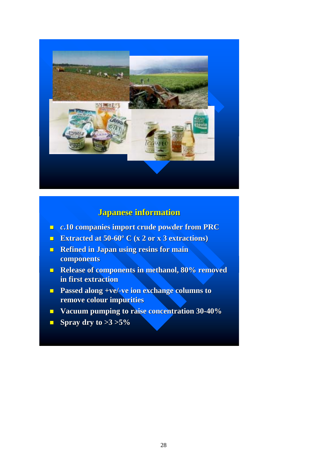

### **Japanese information Japanese information**

- ! *c***.10 companies import crude powder from PRC .10 companies import crude PRC**
- **Extracted at 50-60° C** (x 2 or x 3 extractions)
- **Refined in Japan using resins for main components components**
- **E Release of components in methanol, 80% removed in first extraction first extraction**
- **Passed along +ve/-ve ion exchange columns to remove colour impurities remove colour impurities**
- **E** Vacuum pumping to raise concentration 30-40%
- **Spray dry to**  $>3$  $>5\%$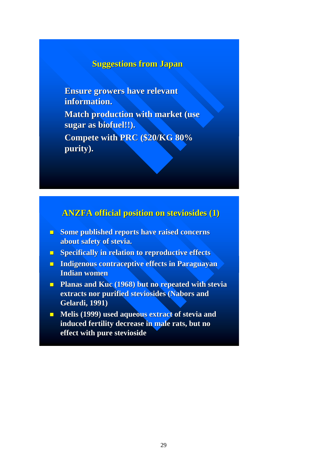### **Suggestions from Japan Suggestions from Japan**

**Ensure growers have relevant Ensure growers have relevant information. Match production with market (use sugar as biofuel!!). as biofuel!!). Compete with PRC (\$20/KG 80%) purity). purity).**

### **ANZFA official position on steviosides (1)**

- **E** Some published reports have raised concerns **about safety of stevia. safety of stevia.**
- **EXPECIFICALLY IN RELATION TO REPRODUCTIVE Effects**
- **<u><b>E** Indigenous contraceptive effects in Paraguayan</u> **Indian women**
- **Planas and Kuc (1968) but no repeated with stevia no repeated with**  $\frac{1}{2}$ **extracts nor purified steviosides (Nabors and Gelardi, 1991) 1991)**
- **E** Melis (1999) used aqueous extract of stevia and **induced fertility decrease in male rats, but no effect with pure stevioside effect with pure stevioside**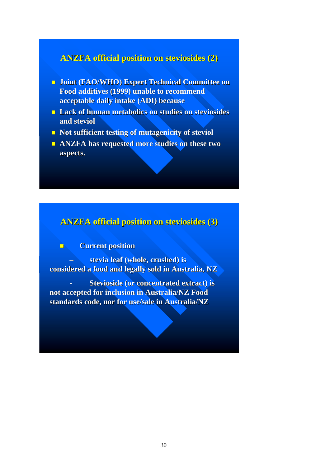### **ANZFA official position on steviosides (2)**

- **<u><b>E** Joint (FAO/WHO) Expert Technical Committee on</u> **Food additives (1999) unable to recommend Food additives (1999) unable to acceptable daily intake (ADI) because acceptable daily intake (ADI) because**
- **<u><b>Lack of human metabolics on studies on steviosides**</u> **and steviol and steviol**
- $\blacksquare$  Not sufficient testing of mutagenicity of steviol
- **<u><b>E** ANZFA has requested more studies on these two **ANZFA**</u> **aspects. aspects.**

### ANZFA official position on steviosides (3)

### ! **Current position Current position**

**– stevia leaf (whole, crushed) is leaf (whole, crushed) considered a food and legally sold in Australia, NZ** 

**Stevioside** (or concentrated extract) is **not accepted for inclusion in Australia/NZ Food standards code, nor for use/sale in Australia/NZ**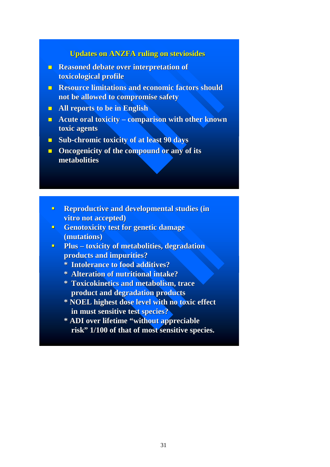### **Updates on ANZFA ruling on steviosides Updates on ANZFA ruling on steviosides**

- **EXECUTE:** Reasoned debate over interpretation of **toxicological profile**
- **EXECUTE: Resource limitations and economic factors should not be allowed to compromise safety be allowed compromise safety**
- ! **All reports to be in English All reports to be in English**
- **E** Acute oral toxicity comparison with other known **toxic agents toxic agents**
- ! **Sub-chromic toxicity of at least 90 days chromic toxicity of at least 90 days**
- **E** Oncogenicity of the compound or any of its **metabolities metabolities**
- **Reproductive and developmental studies (in**  $\blacksquare$ **vitro not accepted) vitro accepted)**
- " **Genotoxicity test Genotoxicity test for genetic damage for genetic damage (mutations) (mutations)**
- **Plus toxicity of metabolities, degradation products and impurities? products impurities?**
	- **\* Intolerance to food additives? Intolerance to additives?**
	- **\* Alteration of nutritional intake? Alteration of intake?**
	- **\* Toxicokinetics and metabolism, trace Toxicokinetics and metabolism, trace product and degradation products**
	- **\* NOEL highest dose level with no toxic effect \* highest dose level no toxic effect in must sensitive test species?**
	- **\* ADI over lifetime \* ADI lifetime "without appreciable "without appreciable risk"** 1/100 of that of most sensitive species.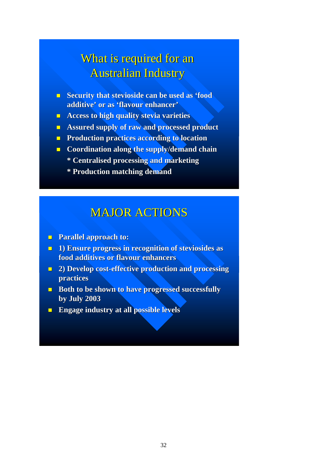# What is required for an **Australian Industry**

- **E** Security that stevioside can be used as 'food **additive' or as 'flavour enhancer' additive' or**
- **EXECCESS to high quality stevia varieties**
- **E** Assured supply of raw and processed product
- **Production practices according to location**
- **E** Coordination along the supply/demand chain
	- **\* Centralised processing and marketing \* Centralised processing and**
	- **\* Production matching demand \* Production matching demand**

# **MAJOR ACTIONS**

- $\blacksquare$  **Parallel approach to:**
- **1 1) Ensure progress in recognition of steviosides as food additives or flavour enhancers**
- **2) Develop cost-effective production and processing practices practices**
- **E** Both to be shown to have progressed successfully **by July 2003 by July 2003**
- ! **Engage industry at all possible levels all possible levels**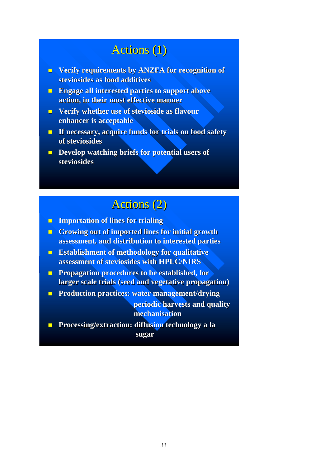# Actions (1)

- **E** Verify requirements by ANZFA for recognition of **steviosides steviosides as food additives as food additives**
- **Example 1 Engage all interested parties to support above action, in their most effective manner action, in most effective manner**
- **E** Verify whether use of stevioside as flavour **enhancer is acceptable is acceptable**
- **If necessary, acquire funds for trials on food safety of steviosides**
- **E** Develop watching briefs for potential users of **steviosides**

# Actions (2)

- ! **Importation of lines for trialing Importation of lines for**
- **u** Growing out of imported lines for initial growth **assessment, and distribution to interested parties**
- **Extrablishment of methodology for qualitative assessment of assessment of steviosides steviosides with HPLC/NIRS with HPLC/NIRS**
- **Propagation procedures to be established, for larger scale trials (seed and vegetative propagation)**
- **Production practices: water management/drying**

**periodic harvests and quality periodic harvests and quality mechanisation mechanisation**

**Processing/extraction: diffusion technology a la sugar**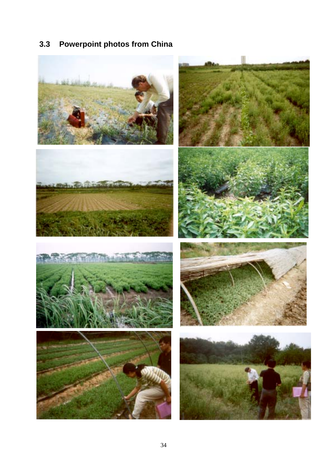## <span id="page-38-0"></span>**3.3 Powerpoint photos from China**

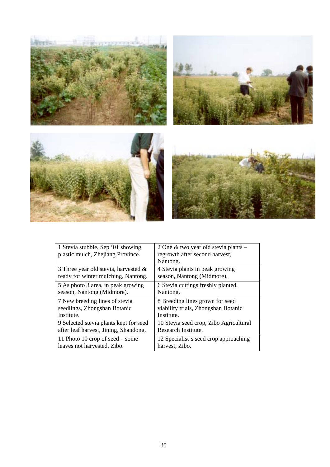

| 1 Stevia stubble, Sep '01 showing<br>plastic mulch, Zhejiang Province. | 2 One & two year old stevia plants –<br>regrowth after second harvest,<br>Nantong. |
|------------------------------------------------------------------------|------------------------------------------------------------------------------------|
| 3 Three year old stevia, harvested $\&$                                | 4 Stevia plants in peak growing                                                    |
| ready for winter mulching, Nantong.                                    | season, Nantong (Midmore).                                                         |
| 5 As photo 3 area, in peak growing                                     | 6 Stevia cuttings freshly planted,                                                 |
| season, Nantong (Midmore).                                             | Nantong.                                                                           |
| 7 New breeding lines of stevia                                         | 8 Breeding lines grown for seed                                                    |
| seedlings, Zhongshan Botanic                                           | viability trials, Zhongshan Botanic                                                |
| Institute.                                                             | Institute.                                                                         |
| 9 Selected stevia plants kept for seed                                 | 10 Stevia seed crop, Zibo Agricultural                                             |
| after leaf harvest, Jining, Shandong.                                  | Research Institute.                                                                |
| 11 Photo 10 crop of seed $-$ some                                      | 12 Specialist's seed crop approaching                                              |
| leaves not harvested, Zibo.                                            | harvest, Zibo.                                                                     |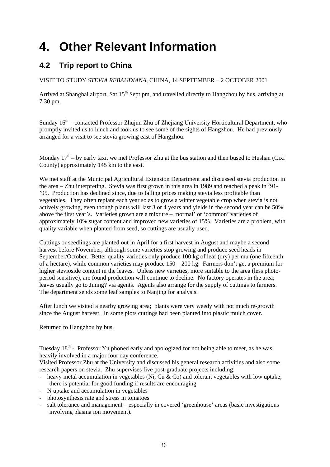# <span id="page-40-0"></span>**4. Other Relevant Information**

### <span id="page-40-1"></span>**4.2 Trip report to China**

VISIT TO STUDY *STEVIA REBAUDIANA*, CHINA, 14 SEPTEMBER – 2 OCTOBER 2001

Arrived at Shanghai airport, Sat 15<sup>th</sup> Sept pm, and travelled directly to Hangzhou by bus, arriving at 7.30 pm.

Sunday  $16<sup>th</sup>$  – contacted Professor Zhujun Zhu of Zhejiang University Horticultural Department, who promptly invited us to lunch and took us to see some of the sights of Hangzhou. He had previously arranged for a visit to see stevia growing east of Hangzhou.

Monday  $17<sup>th</sup>$  – by early taxi, we met Professor Zhu at the bus station and then bused to Hushan (Cixi County) approximately 145 km to the east.

We met staff at the Municipal Agricultural Extension Department and discussed stevia production in the area – Zhu interpreting. Stevia was first grown in this area in 1989 and reached a peak in '91- '95. Production has declined since, due to falling prices making stevia less profitable than vegetables. They often replant each year so as to grow a winter vegetable crop when stevia is not actively growing, even though plants will last 3 or 4 years and yields in the second year can be 50% above the first year's. Varieties grown are a mixture – 'normal' or 'common' varieties of approximately 10% sugar content and improved new varieties of 15%. Varieties are a problem, with quality variable when planted from seed, so cuttings are usually used.

Cuttings or seedlings are planted out in April for a first harvest in August and maybe a second harvest before November, although some varieties stop growing and produce seed heads in September/October. Better quality varieties only produce 100 kg of leaf (dry) per mu (one fifteenth of a hectare), while common varieties may produce 150 – 200 kg. Farmers don't get a premium for higher stevioside content in the leaves. Unless new varieties, more suitable to the area (less photoperiod sensitive), are found production will continue to decline. No factory operates in the area; leaves usually go to Jining? via agents. Agents also arrange for the supply of cuttings to farmers. The department sends some leaf samples to Nanjing for analysis.

After lunch we visited a nearby growing area; plants were very weedy with not much re-growth since the August harvest. In some plots cuttings had been planted into plastic mulch cover.

Returned to Hangzhou by bus.

Tuesday  $18<sup>th</sup>$  - Professor Yu phoned early and apologized for not being able to meet, as he was heavily involved in a major four day conference.

Visited Professor Zhu at the University and discussed his general research activities and also some research papers on stevia. Zhu supervises five post-graduate projects including:

- heavy metal accumulation in vegetables (Ni, Cu & Co) and tolerant vegetables with low uptake; there is potential for good funding if results are encouraging
- N uptake and accumulation in vegetables
- photosynthesis rate and stress in tomatoes
- salt tolerance and management especially in covered 'greenhouse' areas (basic investigations involving plasma ion movement).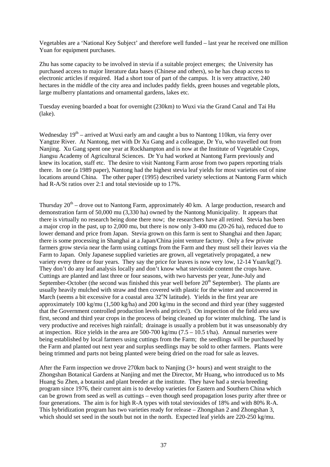Vegetables are a 'National Key Subject' and therefore well funded – last year he received one million Yuan for equipment purchases.

Zhu has some capacity to be involved in stevia if a suitable project emerges; the University has purchased access to major literature data bases (Chinese and others), so he has cheap access to electronic articles if required. Had a short tour of part of the campus. It is very attractive, 240 hectares in the middle of the city area and includes paddy fields, green houses and vegetable plots, large mulberry plantations and ornamental gardens, lakes etc.

Tuesday evening boarded a boat for overnight (230km) to Wuxi via the Grand Canal and Tai Hu (lake).

Wednesday  $19<sup>th</sup>$  – arrived at Wuxi early am and caught a bus to Nantong 110km, via ferry over Yangtze River. At Nantong, met with Dr Xu Gang and a colleague, Dr Yu, who travelled out from Nanjing. Xu Gang spent one year at Rockhampton and is now at the Institute of Vegetable Crops, Jiangsu Academy of Agricultural Sciences. Dr Yu had worked at Nantong Farm previously and knew its location, staff etc. The desire to visit Nantong Farm arose from two papers reporting trials there. In one (a 1989 paper), Nantong had the highest stevia leaf yields for most varieties out of nine locations around China. The other paper (1995) described variety selections at Nantong Farm which had R-A/St ratios over 2:1 and total stevioside up to 17%.

Thursday  $20^{th}$  – drove out to Nantong Farm, approximately 40 km. A large production, research and demonstration farm of 50,000 mu (3,330 ha) owned by the Nantong Municipality. It appears that there is virtually no research being done there now; the researchers have all retired. Stevia has been a major crop in the past, up to 2,000 mu, but there is now only 3-400 mu (20-26 ha), reduced due to lower demand and price from Japan. Stevia grown on this farm is sent to Shanghai and then Japan; there is some processing in Shanghai at a Japan/China joint venture factory. Only a few private farmers grow stevia near the farm using cuttings from the Farm and they must sell their leaves via the Farm to Japan. Only Japanese supplied varieties are grown, all vegetatively propagated, a new variety every three or four years. They say the price for leaves is now very low, 12-14 Yuan/kg(?). They don't do any leaf analysis locally and don't know what stevioside content the crops have. Cuttings are planted and last three or four seasons, with two harvests per year, June-July and September-October (the second was finished this year well before  $20<sup>th</sup>$  September). The plants are usually heavily mulched with straw and then covered with plastic for the winter and uncovered in March (seems a bit excessive for a coastal area 32°N latitude). Yields in the first year are approximately 100 kg/mu (1,500 kg/ha) and 200 kg/mu in the second and third year (they suggested that the Government controlled production levels and prices!). On inspection of the field area saw first, second and third year crops in the process of being cleaned up for winter mulching. The land is very productive and receives high rainfall; drainage is usually a problem but it was unseasonably dry at inspection. Rice yields in the area are 500-700 kg/mu  $(7.5 - 10.5 t/ha)$ . Annual nurseries were being established by local farmers using cuttings from the Farm; the seedlings will be purchased by the Farm and planted out next year and surplus seedlings may be sold to other farmers. Plants were being trimmed and parts not being planted were being dried on the road for sale as leaves.

After the Farm inspection we drove 270km back to Nanjing (3+ hours) and went straight to the Zhongshan Botanical Gardens at Nanjing and met the Director, Mr Huang, who introduced us to Ms Huang Su Zhen, a botanist and plant breeder at the institute. They have had a stevia breeding program since 1976, their current aim is to develop varieties for Eastern and Southern China which can be grown from seed as well as cuttings – even though seed propagation loses purity after three or four generations. The aim is for high R-A types with total steviosides of 18% and with 80% R-A. This hybridization program has two varieties ready for release – Zhongshan 2 and Zhongshan 3, which should set seed in the south but not in the north. Expected leaf yields are 220-250 kg/mu.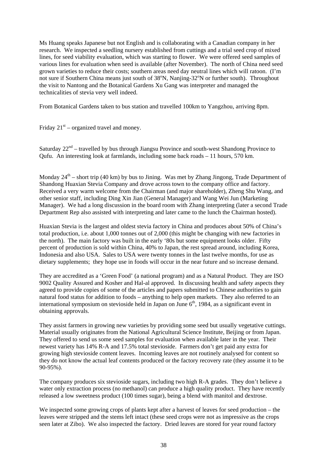Ms Huang speaks Japanese but not English and is collaborating with a Canadian company in her research. We inspected a seedling nursery established from cuttings and a trial seed crop of mixed lines, for seed viability evaluation, which was starting to flower. We were offered seed samples of various lines for evaluation when seed is available (after November). The north of China need seed grown varieties to reduce their costs; southern areas need day neutral lines which will ratoon. (I'm not sure if Southern China means just south of 38°N, Nanjing-32°N or further south). Throughout the visit to Nantong and the Botanical Gardens Xu Gang was interpreter and managed the technicalities of stevia very well indeed.

From Botanical Gardens taken to bus station and travelled 100km to Yangzhou, arriving 8pm.

Friday  $21<sup>st</sup>$  – organized travel and money.

Saturday  $22<sup>nd</sup>$  – travelled by bus through Jiangsu Province and south-west Shandong Province to Qufu. An interesting look at farmlands, including some back roads – 11 hours, 570 km.

Monday 24<sup>th</sup> – short trip (40 km) by bus to Jining. Was met by Zhang Jingong, Trade Department of Shandong Huaxian Stevia Company and drove across town to the company office and factory. Received a very warm welcome from the Chairman (and major shareholder), Zheng Shu Wang, and other senior staff, including Ding Xin Jian (General Manager) and Wang Wei Jun (Marketing Manager). We had a long discussion in the board room with Zhang interpreting (later a second Trade Department Rep also assisted with interpreting and later came to the lunch the Chairman hosted).

Huaxian Stevia is the largest and oldest stevia factory in China and produces about 50% of China's total production, i.e. about 1,000 tonnes out of 2,000 (this might be changing with new factories in the north). The main factory was built in the early '80s but some equipment looks older. Fifty percent of production is sold within China, 40% to Japan, the rest spread around, including Korea, Indonesia and also USA. Sales to USA were twenty tonnes in the last twelve months, for use as dietary supplements; they hope use in foods will occur in the near future and so increase demand.

They are accredited as a 'Green Food' (a national program) and as a Natural Product. They are ISO 9002 Quality Assured and Kosher and Hal-al approved. In discussing health and safety aspects they agreed to provide copies of some of the articles and papers submitted to Chinese authorities to gain natural food status for addition to foods – anything to help open markets. They also referred to an international symposium on stevioside held in Japan on June  $6<sup>th</sup>$ , 1984, as a significant event in obtaining approvals.

They assist farmers in growing new varieties by providing some seed but usually vegetative cuttings. Material usually originates from the National Agricultural Science Institute, Beijing or from Japan. They offered to send us some seed samples for evaluation when available later in the year. Their newest variety has 14% R-A and 17.5% total stevioside. Farmers don't get paid any extra for growing high stevioside content leaves. Incoming leaves are not routinely analysed for content so they do not know the actual leaf contents produced or the factory recovery rate (they assume it to be 90-95%).

The company produces six stevioside sugars, including two high R-A grades. They don't believe a water only extraction process (no methanol) can produce a high quality product. They have recently released a low sweetness product (100 times sugar), being a blend with manitol and dextrose.

We inspected some growing crops of plants kept after a harvest of leaves for seed production – the leaves were stripped and the stems left intact (these seed crops were not as impressive as the crops seen later at Zibo). We also inspected the factory. Dried leaves are stored for year round factory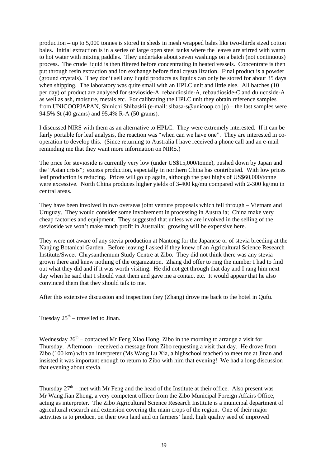production – up to 5,000 tonnes is stored in sheds in mesh wrapped bales like two-thirds sized cotton bales. Initial extraction is in a series of large open steel tanks where the leaves are stirred with warm to hot water with mixing paddles. They undertake about seven washings on a batch (not continuous) process. The crude liquid is then filtered before concentrating in heated vessels. Concentrate is then put through resin extraction and ion exchange before final crystallization. Final product is a powder (ground crystals). They don't sell any liquid products as liquids can only be stored for about 35 days when shipping. The laboratory was quite small with an HPLC unit and little else. All batches (10 per day) of product are analysed for stevioside-A, rebaudioside-A, rebaudioside-C and dulucoside-A as well as ash, moisture, metals etc. For calibrating the HPLC unit they obtain reference samples from UNICOOPJAPAN, Shinichi Shibaskii (e-mail: sibasa-s@unicoop.co.jp) – the last samples were 94.5% St (40 grams) and 95.4% R-A (50 grams).

I discussed NIRS with them as an alternative to HPLC. They were extremely interested. If it can be fairly portable for leaf analysis, the reaction was "when can we have one". They are interested in cooperation to develop this. (Since returning to Australia I have received a phone call and an e-mail reminding me that they want more information on NIRS.)

The price for stevioside is currently very low (under US\$15,000/tonne), pushed down by Japan and the "Asian crisis"; excess production, especially in northern China has contributed. With low prices leaf production is reducing. Prices will go up again, although the past highs of US\$60,000/tonne were excessive. North China produces higher yields of 3-400 kg/mu compared with 2-300 kg/mu in central areas.

They have been involved in two overseas joint venture proposals which fell through – Vietnam and Uruguay. They would consider some involvement in processing in Australia; China make very cheap factories and equipment. They suggested that unless we are involved in the selling of the stevioside we won't make much profit in Australia; growing will be expensive here.

They were not aware of any stevia production at Nantong for the Japanese or of stevia breeding at the Nanjing Botanical Garden. Before leaving I asked if they knew of an Agricultural Science Research Institute/Sweet Chrysanthemum Study Centre at Zibo. They did not think there was any stevia grown there and knew nothing of the organization. Zhang did offer to ring the number I had to find out what they did and if it was worth visiting. He did not get through that day and I rang him next day when he said that I should visit them and gave me a contact etc. It would appear that he also convinced them that they should talk to me.

After this extensive discussion and inspection they (Zhang) drove me back to the hotel in Qufu.

Tuesday  $25<sup>th</sup>$  – travelled to Jinan.

Wednesday  $26<sup>th</sup>$  – contacted Mr Feng Xiao Hong, Zibo in the morning to arrange a visit for Thursday. Afternoon – received a message from Zibo requesting a visit that day. He drove from Zibo (100 km) with an interpreter (Ms Wang Lu Xia, a highschool teacher) to meet me at Jinan and insisted it was important enough to return to Zibo with him that evening! We had a long discussion that evening about stevia.

Thursday  $27<sup>th</sup>$  – met with Mr Feng and the head of the Institute at their office. Also present was Mr Wang Jian Zhong, a very competent officer from the Zibo Municipal Foreign Affairs Office, acting as interpreter. The Zibo Agricultural Science Research Institute is a municipal department of agricultural research and extension covering the main crops of the region. One of their major activities is to produce, on their own land and on farmers' land, high quality seed of improved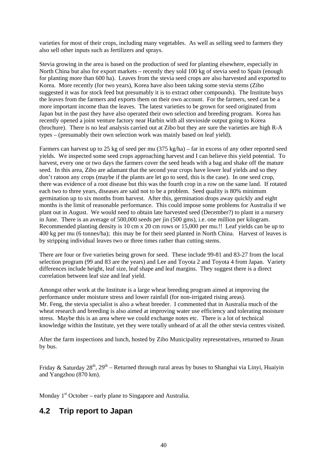varieties for most of their crops, including many vegetables. As well as selling seed to farmers they also sell other inputs such as fertilizers and sprays.

Stevia growing in the area is based on the production of seed for planting elsewhere, especially in North China but also for export markets – recently they sold 100 kg of stevia seed to Spain (enough for planting more than 600 ha). Leaves from the stevia seed crops are also harvested and exported to Korea. More recently (for two years), Korea have also been taking some stevia stems (Zibo suggested it was for stock feed but presumably it is to extract other compounds). The Institute buys the leaves from the farmers and exports them on their own account. For the farmers, seed can be a more important income than the leaves. The latest varieties to be grown for seed originated from Japan but in the past they have also operated their own selection and breeding program. Korea has recently opened a joint venture factory near Harbin with all stevioside output going to Korea (brochure). There is no leaf analysis carried out at Zibo but they are sure the varieties are high R-A types – (presumably their own selection work was mainly based on leaf yield).

Farmers can harvest up to 25 kg of seed per mu (375 kg/ha) – far in excess of any other reported seed yields. We inspected some seed crops approaching harvest and I can believe this yield potential. To harvest, every one or two days the farmers cover the seed heads with a bag and shake off the mature seed. In this area, Zibo are adamant that the second year crops have lower leaf yields and so they don't ratoon any crops (maybe if the plants are let go to seed, this is the case). In one seed crop, there was evidence of a root disease but this was the fourth crop in a row on the same land. If rotated each two to three years, diseases are said not to be a problem. Seed quality is 80% minimum germination up to six months from harvest. After this, germination drops away quickly and eight months is the limit of reasonable performance. This could impose some problems for Australia if we plant out in August. We would need to obtain late harvested seed (December?) to plant in a nursery in June. There is an average of 500,000 seeds per jin (500 gms), i.e. one million per kilogram. Recommended planting density is 10 cm x 20 cm rows or 15,000 per mu.!! Leaf yields can be up to 400 kg per mu (6 tonnes/ha); this may be for their seed planted in North China. Harvest of leaves is by stripping individual leaves two or three times rather than cutting stems.

There are four or five varieties being grown for seed. These include 99-81 and 83-27 from the local selection program (99 and 83 are the years) and Lee and Toyota 2 and Toyota 4 from Japan. Variety differences include height, leaf size, leaf shape and leaf margins. They suggest there is a direct correlation between leaf size and leaf yield.

Amongst other work at the Institute is a large wheat breeding program aimed at improving the performance under moisture stress and lower rainfall (for non-irrigated rising areas). Mr. Feng, the stevia specialist is also a wheat breeder. I commented that in Australia much of the wheat research and breeding is also aimed at improving water use efficiency and tolerating moisture stress. Maybe this is an area where we could exchange notes etc. There is a lot of technical knowledge within the Institute, yet they were totally unheard of at all the other stevia centres visited.

After the farm inspections and lunch, hosted by Zibo Municipality representatives, returned to Jinan by bus.

Friday & Saturday  $28^{th}$ ,  $29^{th}$  – Returned through rural areas by buses to Shanghai via Linyi, Huaiyin and Yangzhou (870 km).

Monday  $1<sup>st</sup> October – early plane to Singapore and Australia.$ 

### <span id="page-44-0"></span>**4.2 Trip report to Japan**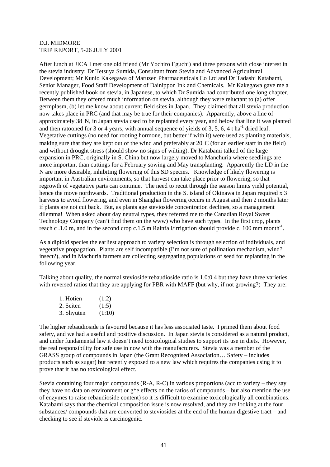#### D.J. MIDMORE TRIP REPORT, 5-26 JULY 2001

After lunch at JICA I met one old friend (Mr Yochiro Eguchi) and three persons with close interest in the stevia industry: Dr Tetsuya Sumida, Consultant from Stevia and Advanced Agricultural Development; Mr Kunio Kakegawa of Maruzen Pharmaceuticals Co Ltd and Dr Tadashi Katabami, Senior Manager, Food Staff Development of Dainippon Ink and Chemicals. Mr Kakegawa gave me a recently published book on stevia, in Japanese, to which Dr Sumida had contributed one long chapter. Between them they offered much information on stevia, although they were reluctant to (a) offer germplasm, (b) let me know about current field sites in Japan. They claimed that all stevia production now takes place in PRC (and that may be true for their companies). Apparently, above a line of approximately 38 N, in Japan stevia used to be replanted every year, and below that line it was planted and then ratooned for 3 or 4 years, with annual sequence of yields of 3, 5, 6, 4 t ha<sup>-1</sup> dried leaf. Vegetative cuttings (no need for rooting hormone, but better if with it) were used as planting materials, making sure that they are kept out of the wind and preferably at 20 C (for an earlier start in the field) and without drought stress (should show no signs of wilting). Dr Katabami talked of the large expansion in PRC, originally in S. China but now largely moved to Manchuria where seedlings are more important than cuttings for a February sowing and May transplanting. Apparently the LD in the N are more desirable, inhibiting flowering of this SD species. Knowledge of likely flowering is important in Australian environments, so that harvest can take place prior to flowering, so that regrowth of vegetative parts can continue. The need to recut through the season limits yield potential, hence the move northwards. Traditional production in the S. island of Okinawa in Japan required x 3 harvests to avoid flowering, and even in Shanghai flowering occurs in August and then 2 months later if plants are not cut back. But, as plants age stevioside concentration declines, so a management dilemma! When asked about day neutral types, they referred me to the Canadian Royal Sweet Technology Company (can't find them on the www) who have such types. In the first crop, plants reach c .1.0 m, and in the second crop c.1.5 m Rainfall/irrigation should provide c. 100 mm month<sup>-1</sup>.

As a diploid species the earliest approach to variety selection is through selection of individuals, and vegetative propagation. Plants are self incompatible (I'm not sure of pollination mechanism, wind? insect?), and in Machuria farmers are collecting segregating populations of seed for replanting in the following year.

Talking about quality, the normal stevioside:rebaudioside ratio is 1.0:0.4 but they have three varieties with reversed ratios that they are applying for PBR with MAFF (but why, if not growing?) They are:

| 1. Hotien  | (1:2)  |
|------------|--------|
| 2. Seiten  | (1:5)  |
| 3. Shyuten | (1:10) |

The higher rebaudioside is favoured because it has less associated taste. I primed them about food safety, and we had a useful and positive discussion. In Japan stevia is considered as a natural product, and under fundamental law it doesn't need toxicological studies to support its use in diets. However, the real responsibility for safe use in now with the manufacturers. Stevia was a member of the GRASS group of compounds in Japan (the Grant Recognised Association… Safety – includes products such as sugar) but recently exposed to a new law which requires the companies using it to prove that it has no toxicological effect.

Stevia containing four major compounds (R-A, R-C) in various proportions (acc to variety – they say they have no data on environment or  $g^*$ e effects on the ratios of compounds – but also mention the use of enzymes to raise rebaudioside content) so it is difficult to examine toxicologically all combinations. Katabami says that the chemical composition issue is now resolved, and they are looking at the four substances/ compounds that are converted to steviosides at the end of the human digestive tract – and checking to see if steviole is carcinogenic.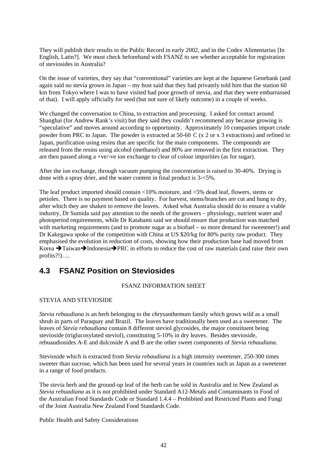They will publish their results in the Public Record in early 2002, and in the Codex Alimentarius [In English, Latin?]. We must check beforehand with FSANZ to see whether acceptable for registration of steviosides in Australia?

On the issue of varieties, they say that "conventional" varieties are kept at the Japanese Genebank (and again said no stevia grown in Japan – my host said that they had privately told him that the station 60 km from Tokyo where I was to have visited had poor growth of stevia, and that they were embarrassed of that). I will apply officially for seed (but not sure of likely outcome) in a couple of weeks.

We changed the conversation to China, to extraction and processing. I asked for contact around Shanghai (for Andrew Rank's visit) but they said they couldn't recommend any because growing is "speculative" and moves around according to opportunity. Approximately 10 companies import crude powder from PRC to Japan. The powder is extracted at 50-60 C (x 2 or x 3 extractions) and refined in Japan, purification using resins that are specific for the main components. The compounds are released from the resins using alcohol (methanol) and 80% are removed in the first extraction. They are then passed along a +ve/-ve ion exchange to clear of colour impurities (as for sugar).

After the ion exchange, through vacuum pumping the concentration is raised to 30-40%. Drying is done with a spray drier, and the water content in final product is 3-<5%.

The leaf product imported should contain <10% moisture, and <5% dead leaf, flowers, stems or petioles. There is no payment based on quality. For harvest, stems/branches are cut and hung to dry, after which they are shaken to remove the leaves. Asked what Australia should do to ensure a viable industry, Dr Sumida said pay attention to the needs of the growers – physiology, nutrient water and photoperiod requirements, while Dr Katabami said we should ensure that production was matched with marketing requirements (and to promote sugar as a biofuel – so more demand for sweetener!) and Dr Kakegawa spoke of the competition with China at US \$20/kg for 80% purity raw product. They emphasised the evolution in reduction of costs, showing how their production base had moved from Korea  $\rightarrow$  Taiwan $\rightarrow$ Indonesia $\rightarrow$  PRC in efforts to reduce the cost of raw materials (and raise their own profits?!)….

### <span id="page-46-0"></span>**4.3 FSANZ Position on Steviosides**

### FSANZ INFORMATION SHEET

### STEVIA AND STEVIOSIDE

*Stevia rebaudiana* is an herb belonging to the chrysanthemum family which grows wild as a small shrub in parts of Paraquay and Brazil. The leaves have traditionally been used as a sweetener. The leaves of *Stevia rebaudiana* contain 8 different steviol glycosides, the major constituent being stevioside (triglucosylated steviol), constituting 5-10% in dry leaves. Besides stevioside, rebuaudiosides A-E and dulcoside A and B are the other sweet components of *Stevia rebaudiana*.

Stevioside which is extracted from *Stevia rebaudiana* is a high intensity sweetener, 250-300 times sweeter than sucrose, which has been used for several years in countries such as Japan as a sweetener in a range of food products.

The stevia herb and the ground-up leaf of the herb can be sold in Australia and in New Zealand as *Stevia rebuadiana* as it is not prohibited under Standard A12-Metals and Contaminants in Food of the Australian Food Standards Code or Standard 1.4.4 – Prohibited and Restricted Plants and Fungi of the Joint Australia New Zealand Food Standards Code.

Public Health and Safety Considerations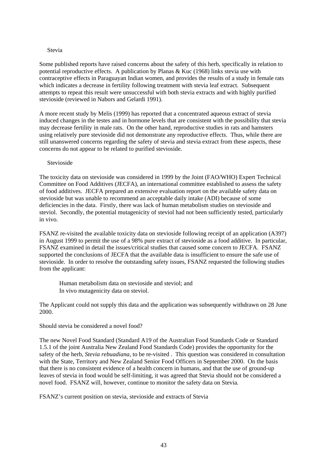#### Stevia

Some published reports have raised concerns about the safety of this herb, specifically in relation to potential reproductive effects. A publication by Planas & Kuc (1968) links stevia use with contraceptive effects in Paraguayan Indian women, and provides the results of a study in female rats which indicates a decrease in fertility following treatment with stevia leaf extract. Subsequent attempts to repeat this result were unsuccessful with both stevia extracts and with highly purified stevioside (reviewed in Nabors and Gelardi 1991).

A more recent study by Melis (1999) has reported that a concentrated aqueous extract of stevia induced changes in the testes and in hormone levels that are consistent with the possibility that stevia may decrease fertility in male rats. On the other hand, reproductive studies in rats and hamsters using relatively pure stevioside did not demonstrate any reproductive effects. Thus, while there are still unanswered concerns regarding the safety of stevia and stevia extract from these aspects, these concerns do not appear to be related to purified stevioside.

#### Stevioside

The toxicity data on stevioside was considered in 1999 by the Joint (FAO/WHO) Expert Technical Committee on Food Additives (JECFA), an international committee established to assess the safety of food additives. JECFA prepared an extensive evaluation report on the available safety data on stevioside but was unable to recommend an acceptable daily intake (ADI) because of some deficiencies in the data. Firstly, there was lack of human metabolism studies on stevioside and steviol. Secondly, the potential mutagenicity of steviol had not been sufficiently tested, particularly in vivo.

FSANZ re-visited the available toxicity data on stevioside following receipt of an application (A397) in August 1999 to permit the use of a 98% pure extract of stevioside as a food additive. In particular, FSANZ examined in detail the issues/critical studies that caused some concern to JECFA. FSANZ supported the conclusions of JECFA that the available data is insufficient to ensure the safe use of stevioside. In order to resolve the outstanding safety issues, FSANZ requested the following studies from the applicant:

Human metabolism data on stevioside and steviol; and In vivo mutagenicity data on steviol.

The Applicant could not supply this data and the application was subsequently withdrawn on 28 June 2000.

Should stevia be considered a novel food?

The new Novel Food Standard (Standard A19 of the Australian Food Standards Code or Standard 1.5.1 of the joint Australia New Zealand Food Standards Code) provides the opportunity for the safety of the herb, *Stevia rebuadiana*, to be re-visited . This question was considered in consultation with the State, Territory and New Zealand Senior Food Officers in September 2000. On the basis that there is no consistent evidence of a health concern in humans, and that the use of ground-up leaves of stevia in food would be self-limiting, it was agreed that Stevia should not be considered a novel food. FSANZ will, however, continue to monitor the safety data on Stevia.

FSANZ's current position on stevia, stevioside and extracts of Stevia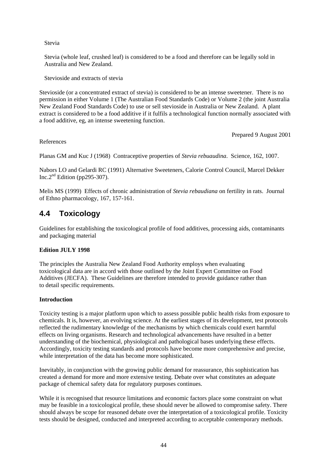Stevia

Stevia (whole leaf, crushed leaf) is considered to be a food and therefore can be legally sold in Australia and New Zealand.

Stevioside and extracts of stevia

Stevioside (or a concentrated extract of stevia) is considered to be an intense sweetener. There is no permission in either Volume 1 (The Australian Food Standards Code) or Volume 2 (the joint Australia New Zealand Food Standards Code) to use or sell stevioside in Australia or New Zealand. A plant extract is considered to be a food additive if it fulfils a technological function normally associated with a food additive, eg, an intense sweetening function.

Prepared 9 August 2001

References

Planas GM and Kuc J (1968) Contraceptive properties of *Stevia rebuaudina*. Science, 162, 1007.

Nabors LO and Gelardi RC (1991) Alternative Sweeteners, Calorie Control Council, Marcel Dekker Inc.2<sup>nd</sup> Edition (pp295-307).

Melis MS (1999) Effects of chronic administration of *Stevia rebaudiana* on fertility in rats. Journal of Ethno pharmacology, 167, 157-161.

### <span id="page-48-0"></span>**4.4 Toxicology**

Guidelines for establishing the toxicological profile of food additives, processing aids, contaminants and packaging material

### **Edition JULY 1998**

The principles the Australia New Zealand Food Authority employs when evaluating toxicological data are in accord with those outlined by the Joint Expert Committee on Food Additives (JECFA). These Guidelines are therefore intended to provide guidance rather than to detail specific requirements.

### **Introduction**

Toxicity testing is a major platform upon which to assess possible public health risks from exposure to chemicals. It is, however, an evolving science. At the earliest stages of its development, test protocols reflected the rudimentary knowledge of the mechanisms by which chemicals could exert harmful effects on living organisms. Research and technological advancements have resulted in a better understanding of the biochemical, physiological and pathological bases underlying these effects. Accordingly, toxicity testing standards and protocols have become more comprehensive and precise, while interpretation of the data has become more sophisticated.

Inevitably, in conjunction with the growing public demand for reassurance, this sophistication has created a demand for more and more extensive testing. Debate over what constitutes an adequate package of chemical safety data for regulatory purposes continues.

While it is recognised that resource limitations and economic factors place some constraint on what may be feasible in a toxicological profile, these should never be allowed to compromise safety. There should always be scope for reasoned debate over the interpretation of a toxicological profile. Toxicity tests should be designed, conducted and interpreted according to acceptable contemporary methods.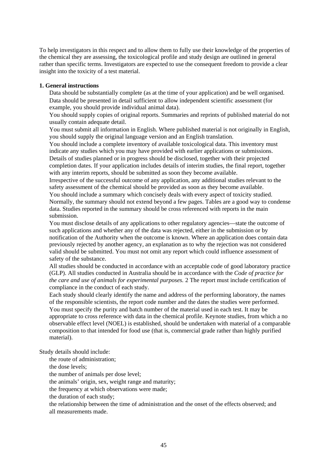To help investigators in this respect and to allow them to fully use their knowledge of the properties of the chemical they are assessing, the toxicological profile and study design are outlined in general rather than specific terms. Investigators are expected to use the consequent freedom to provide a clear insight into the toxicity of a test material.

#### **1. General instructions**

Data should be substantially complete (as at the time of your application) and be well organised. Data should be presented in detail sufficient to allow independent scientific assessment (for example, you should provide individual animal data).

You should supply copies of original reports. Summaries and reprints of published material do not usually contain adequate detail.

You must submit all information in English. Where published material is not originally in English, you should supply the original language version and an English translation.

You should include a complete inventory of available toxicological data. This inventory must indicate any studies which you may have provided with earlier applications or submissions. Details of studies planned or in progress should be disclosed, together with their projected completion dates. If your application includes details of interim studies, the final report, together with any interim reports, should be submitted as soon they become available.

Irrespective of the successful outcome of any application, any additional studies relevant to the safety assessment of the chemical should be provided as soon as they become available.

You should include a summary which concisely deals with every aspect of toxicity studied. Normally, the summary should not extend beyond a few pages. Tables are a good way to condense data. Studies reported in the summary should be cross referenced with reports in the main submission.

You must disclose details of any applications to other regulatory agencies—state the outcome of such applications and whether any of the data was rejected, either in the submission or by notification of the Authority when the outcome is known. Where an application does contain data previously rejected by another agency, an explanation as to why the rejection was not considered valid should be submitted. You must not omit any report which could influence assessment of safety of the substance.

All studies should be conducted in accordance with an acceptable code of good laboratory practice (GLP). All studies conducted in Australia should be in accordance with the *Code of practice for the care and use of animals for experimental purposes.* 2 The report must include certification of compliance in the conduct of each study.

Each study should clearly identify the name and address of the performing laboratory, the names of the responsible scientists, the report code number and the dates the studies were performed. You must specify the purity and batch number of the material used in each test. It may be appropriate to cross reference with data in the chemical profile. Keynote studies, from which a no observable effect level (NOEL) is established, should be undertaken with material of a comparable composition to that intended for food use (that is, commercial grade rather than highly purified material).

Study details should include:

the route of administration;

the dose levels;

the number of animals per dose level;

the animals' origin, sex, weight range and maturity;

the frequency at which observations were made;

the duration of each study;

the relationship between the time of administration and the onset of the effects observed; and all measurements made.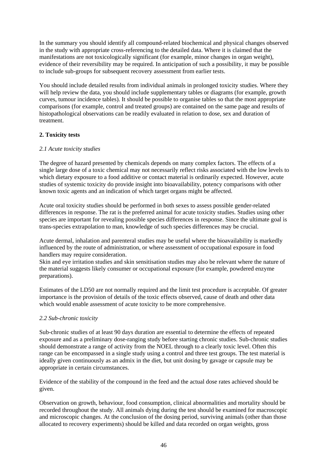In the summary you should identify all compound-related biochemical and physical changes observed in the study with appropriate cross-referencing to the detailed data. Where it is claimed that the manifestations are not toxicologically significant (for example, minor changes in organ weight), evidence of their reversibility may be required. In anticipation of such a possibility, it may be possible to include sub-groups for subsequent recovery assessment from earlier tests.

You should include detailed results from individual animals in prolonged toxicity studies. Where they will help review the data, you should include supplementary tables or diagrams (for example, growth curves, tumour incidence tables). It should be possible to organise tables so that the most appropriate comparisons (for example, control and treated groups) are contained on the same page and results of histopathological observations can be readily evaluated in relation to dose, sex and duration of treatment.

### **2. Toxicity tests**

### *2.1 Acute toxicity studies*

The degree of hazard presented by chemicals depends on many complex factors. The effects of a single large dose of a toxic chemical may not necessarily reflect risks associated with the low levels to which dietary exposure to a food additive or contact material is ordinarily expected. However, acute studies of systemic toxicity do provide insight into bioavailability, potency comparisons with other known toxic agents and an indication of which target organs might be affected.

Acute oral toxicity studies should be performed in both sexes to assess possible gender-related differences in response. The rat is the preferred animal for acute toxicity studies. Studies using other species are important for revealing possible species differences in response. Since the ultimate goal is trans-species extrapolation to man, knowledge of such species differences may be crucial.

Acute dermal, inhalation and parenteral studies may be useful where the bioavailability is markedly influenced by the route of administration, or where assessment of occupational exposure in food handlers may require consideration.

Skin and eye irritation studies and skin sensitisation studies may also be relevant where the nature of the material suggests likely consumer or occupational exposure (for example, powdered enzyme preparations).

Estimates of the LD50 are not normally required and the limit test procedure is acceptable. Of greater importance is the provision of details of the toxic effects observed, cause of death and other data which would enable assessment of acute toxicity to be more comprehensive.

#### *2.2 Sub-chronic toxicity*

Sub-chronic studies of at least 90 days duration are essential to determine the effects of repeated exposure and as a preliminary dose-ranging study before starting chronic studies. Sub-chronic studies should demonstrate a range of activity from the NOEL through to a clearly toxic level. Often this range can be encompassed in a single study using a control and three test groups. The test material is ideally given continuously as an admix in the diet, but unit dosing by gavage or capsule may be appropriate in certain circumstances.

Evidence of the stability of the compound in the feed and the actual dose rates achieved should be given.

Observation on growth, behaviour, food consumption, clinical abnormalities and mortality should be recorded throughout the study. All animals dying during the test should be examined for macroscopic and microscopic changes. At the conclusion of the dosing period, surviving animals (other than those allocated to recovery experiments) should be killed and data recorded on organ weights, gross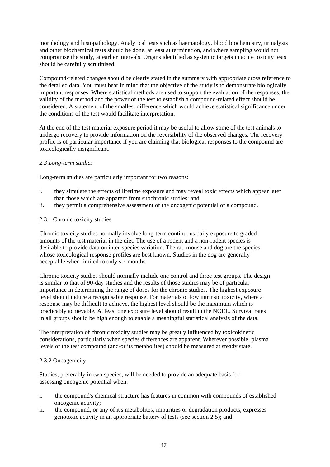morphology and histopathology. Analytical tests such as haematology, blood biochemistry, urinalysis and other biochemical tests should be done, at least at termination, and where sampling would not compromise the study, at earlier intervals. Organs identified as systemic targets in acute toxicity tests should be carefully scrutinised.

Compound-related changes should be clearly stated in the summary with appropriate cross reference to the detailed data. You must bear in mind that the objective of the study is to demonstrate biologically important responses. Where statistical methods are used to support the evaluation of the responses, the validity of the method and the power of the test to establish a compound-related effect should be considered. A statement of the smallest difference which would achieve statistical significance under the conditions of the test would facilitate interpretation.

At the end of the test material exposure period it may be useful to allow some of the test animals to undergo recovery to provide information on the reversibility of the observed changes. The recovery profile is of particular importance if you are claiming that biological responses to the compound are toxicologically insignificant.

### *2.3 Long-term studies*

Long-term studies are particularly important for two reasons:

- i. they simulate the effects of lifetime exposure and may reveal toxic effects which appear later than those which are apparent from subchronic studies; and
- ii. they permit a comprehensive assessment of the oncogenic potential of a compound.

### 2.3.1 Chronic toxicity studies

Chronic toxicity studies normally involve long-term continuous daily exposure to graded amounts of the test material in the diet. The use of a rodent and a non-rodent species is desirable to provide data on inter-species variation. The rat, mouse and dog are the species whose toxicological response profiles are best known. Studies in the dog are generally acceptable when limited to only six months.

Chronic toxicity studies should normally include one control and three test groups. The design is similar to that of 90-day studies and the results of those studies may be of particular importance in determining the range of doses for the chronic studies. The highest exposure level should induce a recognisable response. For materials of low intrinsic toxicity, where a response may be difficult to achieve, the highest level should be the maximum which is practicably achievable. At least one exposure level should result in the NOEL. Survival rates in all groups should be high enough to enable a meaningful statistical analysis of the data.

The interpretation of chronic toxicity studies may be greatly influenced by toxicokinetic considerations, particularly when species differences are apparent. Wherever possible, plasma levels of the test compound (and/or its metabolites) should be measured at steady state.

#### 2.3.2 Oncogenicity

Studies, preferably in two species, will be needed to provide an adequate basis for assessing oncogenic potential when:

- i. the compound's chemical structure has features in common with compounds of established oncogenic activity;
- ii. the compound, or any of it's metabolites, impurities or degradation products, expresses genotoxic activity in an appropriate battery of tests (see section 2.5); and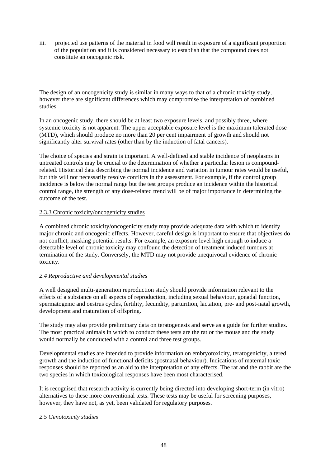iii. projected use patterns of the material in food will result in exposure of a significant proportion of the population and it is considered necessary to establish that the compound does not constitute an oncogenic risk.

The design of an oncogenicity study is similar in many ways to that of a chronic toxicity study, however there are significant differences which may compromise the interpretation of combined studies.

In an oncogenic study, there should be at least two exposure levels, and possibly three, where systemic toxicity is not apparent. The upper acceptable exposure level is the maximum tolerated dose (MTD), which should produce no more than 20 per cent impairment of growth and should not significantly alter survival rates (other than by the induction of fatal cancers).

The choice of species and strain is important. A well-defined and stable incidence of neoplasms in untreated controls may be crucial to the determination of whether a particular lesion is compoundrelated. Historical data describing the normal incidence and variation in tumour rates would be useful, but this will not necessarily resolve conflicts in the assessment. For example, if the control group incidence is below the normal range but the test groups produce an incidence within the historical control range, the strength of any dose-related trend will be of major importance in determining the outcome of the test.

### 2.3.3 Chronic toxicity/oncogenicity studies

A combined chronic toxicity/oncogenicity study may provide adequate data with which to identify major chronic and oncogenic effects. However, careful design is important to ensure that objectives do not conflict, masking potential results. For example, an exposure level high enough to induce a detectable level of chronic toxicity may confound the detection of treatment induced tumours at termination of the study. Conversely, the MTD may not provide unequivocal evidence of chronic toxicity.

#### *2.4 Reproductive and developmental studies*

A well designed multi-generation reproduction study should provide information relevant to the effects of a substance on all aspects of reproduction, including sexual behaviour, gonadal function, spermatogenic and oestrus cycles, fertility, fecundity, parturition, lactation, pre- and post-natal growth, development and maturation of offspring.

The study may also provide preliminary data on teratogenesis and serve as a guide for further studies. The most practical animals in which to conduct these tests are the rat or the mouse and the study would normally be conducted with a control and three test groups.

Developmental studies are intended to provide information on embryotoxicity, teratogenicity, altered growth and the induction of functional deficits (postnatal behaviour). Indications of maternal toxic responses should be reported as an aid to the interpretation of any effects. The rat and the rabbit are the two species in which toxicological responses have been most characterised.

It is recognised that research activity is currently being directed into developing short-term (in vitro) alternatives to these more conventional tests. These tests may be useful for screening purposes, however, they have not, as yet, been validated for regulatory purposes.

#### *2.5 Genotoxicity studies*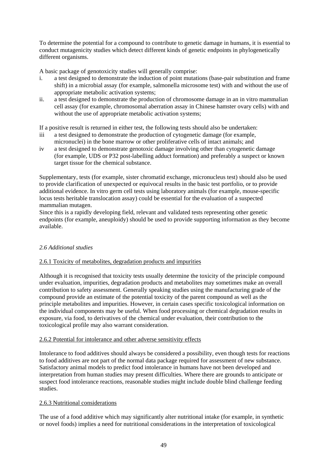To determine the potential for a compound to contribute to genetic damage in humans, it is essential to conduct mutagenicity studies which detect different kinds of genetic endpoints in phylogenetically different organisms.

A basic package of genotoxicity studies will generally comprise:

- i. a test designed to demonstrate the induction of point mutations (base-pair substitution and frame shift) in a microbial assay (for example, salmonella microsome test) with and without the use of appropriate metabolic activation systems;
- ii. a test designed to demonstrate the production of chromosome damage in an in vitro mammalian cell assay (for example, chromosomal aberration assay in Chinese hamster ovary cells) with and without the use of appropriate metabolic activation systems;

If a positive result is returned in either test, the following tests should also be undertaken:

- iii a test designed to demonstrate the production of cytogenetic damage (for example, micronuclei) in the bone marrow or other proliferative cells of intact animals; and
- iv a test designed to demonstrate genotoxic damage involving other than cytogenetic damage (for example, UDS or P32 post-labelling adduct formation) and preferably a suspect or known target tissue for the chemical substance.

Supplementary, tests (for example, sister chromatid exchange, micronucleus test) should also be used to provide clarification of unexpected or equivocal results in the basic test portfolio, or to provide additional evidence. In vitro germ cell tests using laboratory animals (for example, mouse-specific locus tests heritable translocation assay) could be essential for the evaluation of a suspected mammalian mutagen.

Since this is a rapidly developing field, relevant and validated tests representing other genetic endpoints (for example, aneuploidy) should be used to provide supporting information as they become available.

### *2.6 Additional studies*

### 2.6.1 Toxicity of metabolites, degradation products and impurities

Although it is recognised that toxicity tests usually determine the toxicity of the principle compound under evaluation, impurities, degradation products and metabolites may sometimes make an overall contribution to safety assessment. Generally speaking studies using the manufacturing grade of the compound provide an estimate of the potential toxicity of the parent compound as well as the principle metabolites and impurities. However, in certain cases specific toxicological information on the individual components may be useful. When food processing or chemical degradation results in exposure, via food, to derivatives of the chemical under evaluation, their contribution to the toxicological profile may also warrant consideration.

#### 2.6.2 Potential for intolerance and other adverse sensitivity effects

Intolerance to food additives should always be considered a possibility, even though tests for reactions to food additives are not part of the normal data package required for assessment of new substance. Satisfactory animal models to predict food intolerance in humans have not been developed and interpretation from human studies may present difficulties. Where there are grounds to anticipate or suspect food intolerance reactions, reasonable studies might include double blind challenge feeding studies.

#### 2.6.3 Nutritional considerations

The use of a food additive which may significantly alter nutritional intake (for example, in synthetic or novel foods) implies a need for nutritional considerations in the interpretation of toxicological